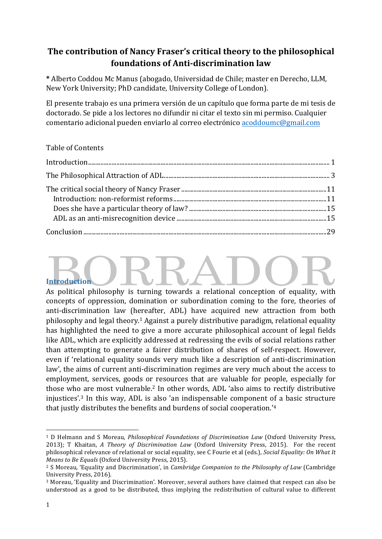## The contribution of Nancy Fraser's critical theory to the philosophical **foundations of Anti-discrimination law**

**\*** Alberto Coddou Mc Manus (abogado, Universidad de Chile; master en Derecho, LLM, New York University; PhD candidate, University College of London).

El presente trabajo es una primera versión de un capítulo que forma parte de mi tesis de doctorado. Se pide a los lectores no difundir ni citar el texto sin mi permiso. Cualquier comentario adicional pueden enviarlo al correo electrónico acoddoumc@gmail.com

## Table of Contents

# **Introduction**

As political philosophy is turning towards a relational conception of equality, with concepts of oppression, domination or subordination coming to the fore, theories of anti-discrimination law (hereafter, ADL) have acquired new attraction from both philosophy and legal theory.<sup>1</sup> Against a purely distributive paradigm, relational equality has highlighted the need to give a more accurate philosophical account of legal fields like ADL, which are explicitly addressed at redressing the evils of social relations rather than attempting to generate a fairer distribution of shares of self-respect. However, even if 'relational equality sounds very much like a description of anti-discrimination law', the aims of current anti-discrimination regimes are very much about the access to employment, services, goods or resources that are valuable for people, especially for those who are most vulnerable.<sup>2</sup> In other words, ADL 'also aims to rectify distributive injustices'.<sup>3</sup> In this way, ADL is also 'an indispensable component of a basic structure that justly distributes the benefits and burdens of social cooperation.<sup>14</sup>

<sup>&</sup>lt;sup>1</sup> D Helmann and S Moreau, *Philosophical Foundations of Discrimination Law* (Oxford University Press, 2013); T Khaitan, *A Theory of Discrimination Law* (Oxford University Press, 2015). For the recent philosophical relevance of relational or social equality, see C Fourie et al (eds.), *Social Equality: On What It Means to Be Equals* (Oxford University Press, 2015).

<sup>&</sup>lt;sup>2</sup> S Moreau, 'Equality and Discrimination', in *Cambridge Companion to the Philosophy of Law* (Cambridge University Press, 2016).

<sup>&</sup>lt;sup>3</sup> Moreau, 'Equality and Discrimination'. Moreover, several authors have claimed that respect can also be understood as a good to be distributed, thus implying the redistribution of cultural value to different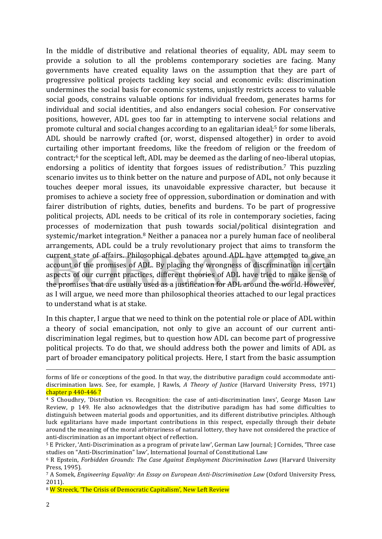In the middle of distributive and relational theories of equality, ADL may seem to provide a solution to all the problems contemporary societies are facing. Many governments have created equality laws on the assumption that they are part of progressive political projects tackling key social and economic evils: discrimination undermines the social basis for economic systems, unjustly restricts access to valuable social goods, constrains valuable options for individual freedom, generates harms for individual and social identities, and also endangers social cohesion. For conservative positions, however, ADL goes too far in attempting to intervene social relations and promote cultural and social changes according to an egalitarian ideal;<sup>5</sup> for some liberals, ADL should be narrowly crafted (or, worst, dispensed altogether) in order to avoid curtailing other important freedoms, like the freedom of religion or the freedom of contract; $6$  for the sceptical left, ADL may be deemed as the darling of neo-liberal utopias, endorsing a politics of identity that forgoes issues of redistribution.<sup>7</sup> This puzzling scenario invites us to think better on the nature and purpose of ADL, not only because it touches deeper moral issues, its unavoidable expressive character, but because it promises to achieve a society free of oppression, subordination or domination and with fairer distribution of rights, duties, benefits and burdens. To be part of progressive political projects, ADL needs to be critical of its role in contemporary societies, facing processes of modernization that push towards social/political disintegration and systemic/market integration.<sup>8</sup> Neither a panacea nor a purely human face of neoliberal arrangements, ADL could be a truly revolutionary project that aims to transform the current state of affairs. Philosophical debates around ADL have attempted to give an account of the promises of ADL. By placing the wrongness of discrimination in certain aspects of our current practices, different theories of ADL have tried to make sense of the promises that are usually used as a justification for ADL around the world. However, as I will argue, we need more than philosophical theories attached to our legal practices to understand what is at stake.

In this chapter, I argue that we need to think on the potential role or place of ADL within a theory of social emancipation, not only to give an account of our current antidiscrimination legal regimes, but to question how ADL can become part of progressive political projects. To do that, we should address both the power and limits of ADL as part of broader emancipatory political projects. Here, I start from the basic assumption

<u> 1989 - Johann Stoff, fransk politik (f. 1989)</u>

forms of life or conceptions of the good. In that way, the distributive paradigm could accommodate antidiscrimination laws. See, for example, J Rawls, *A Theory of Justice* (Harvard University Press, 1971) chapter  $p$  440-446?

<sup>&</sup>lt;sup>4</sup> S Choudhry, 'Distribution vs. Recognition: the case of anti-discrimination laws', George Mason Law Review, p 149. He also acknowledges that the distributive paradigm has had some difficulties to distinguish between material goods and opportunities, and its different distributive principles. Although luck egalitarians have made important contributions in this respect, especially through their debate around the meaning of the moral arbitrariness of natural lottery, they have not considered the practice of anti-discrimination as an important object of reflection.

<sup>&</sup>lt;sup>5</sup> E Pricker, 'Anti-Discrimination as a program of private law', German Law Journal; J Cornides, 'Three case studies on "Anti-Discrimination" law', International Journal of Constitutional Law

<sup>&</sup>lt;sup>6</sup> R Epstein, *Forbidden Grounds: The Case Against Employment Discrimination Laws* (Harvard University Press, 1995).

<sup>&</sup>lt;sup>7</sup> A Somek, *Engineering Equality: An Essay on European Anti-Discrimination Law* (Oxford University Press, 2011).

<sup>&</sup>lt;sup>8</sup> W Streeck, 'The Crisis of Democratic Capitalism', New Left Review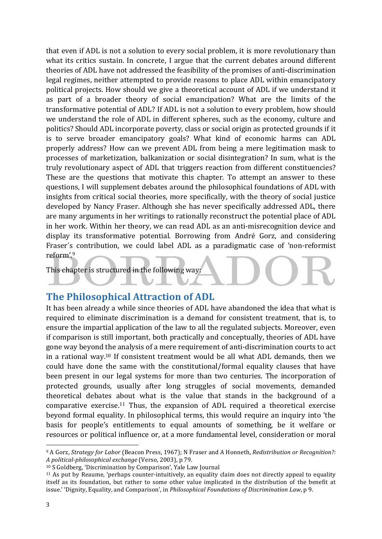that even if ADL is not a solution to every social problem, it is more revolutionary than what its critics sustain. In concrete, I argue that the current debates around different theories of ADL have not addressed the feasibility of the promises of anti-discrimination legal regimes, neither attempted to provide reasons to place ADL within emancipatory political projects. How should we give a theoretical account of ADL if we understand it as part of a broader theory of social emancipation? What are the limits of the transformative potential of ADL? If ADL is not a solution to every problem, how should we understand the role of ADL in different spheres, such as the economy, culture and politics? Should ADL incorporate poverty, class or social origin as protected grounds if it is to serve broader emancipatory goals? What kind of economic harms can ADL properly address? How can we prevent ADL from being a mere legitimation mask to processes of marketization, balkanization or social disintegration? In sum, what is the truly revolutionary aspect of ADL that triggers reaction from different constituencies? These are the questions that motivate this chapter. To attempt an answer to these questions, I will supplement debates around the philosophical foundations of ADL with insights from critical social theories, more specifically, with the theory of social justice developed by Nancy Fraser. Although she has never specifically addressed ADL, there are many arguments in her writings to rationally reconstruct the potential place of ADL in her work. Within her theory, we can read ADL as an anti-misrecognition device and display its transformative potential. Borrowing from André Gorz, and considering Fraser's contribution, we could label ADL as a paradigmatic case of 'non-reformist reform'.9

This chapter is structured in the following way:

## **The Philosophical Attraction of ADL**

It has been already a while since theories of ADL have abandoned the idea that what is required to eliminate discrimination is a demand for consistent treatment, that is, to ensure the impartial application of the law to all the regulated subjects. Moreover, even if comparison is still important, both practically and conceptually, theories of ADL have gone way beyond the analysis of a mere requirement of anti-discrimination courts to act in a rational way.<sup>10</sup> If consistent treatment would be all what ADL demands, then we could have done the same with the constitutional/formal equality clauses that have been present in our legal systems for more than two centuries. The incorporation of protected grounds, usually after long struggles of social movements, demanded theoretical debates about what is the value that stands in the background of a comparative exercise.<sup>11</sup> Thus, the expansion of ADL required a theoretical exercise beyond formal equality. In philosophical terms, this would require an inquiry into 'the basis for people's entitlements to equal amounts of something, be it welfare or resources or political influence or, at a more fundamental level, consideration or moral

<sup>&</sup>lt;sup>9</sup> A Gorz, *Strategy for Labor* (Beacon Press, 1967); N Fraser and A Honneth, *Redistribution or Recognition?*: *A political-philosophical exchange* (Verso, 2003), p 79.

 $10$  S Goldberg, 'Discrimination by Comparison', Yale Law Journal

<sup>&</sup>lt;sup>11</sup> As put by Reaume, 'perhaps counter-intuitively, an equality claim does not directly appeal to equality itself as its foundation, but rather to some other value implicated in the distribution of the benefit at issue.' 'Dignity, Equality, and Comparison', in *Philosophical Foundations of Discrimination Law*, p 9.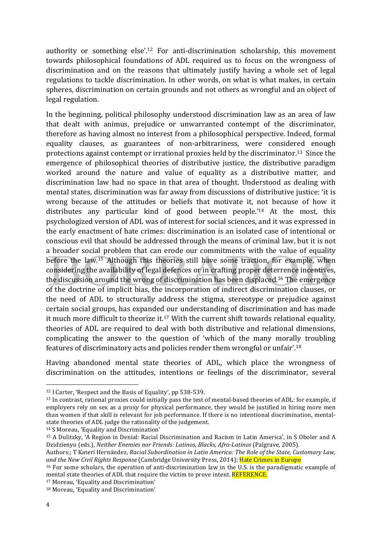authority or something  $else'.<sup>12</sup> For anti-distribution scholarship, this movement$ towards philosophical foundations of ADL required us to focus on the wrongness of discrimination and on the reasons that ultimately justify having a whole set of legal regulations to tackle discrimination. In other words, on what is what makes, in certain spheres, discrimination on certain grounds and not others as wrongful and an object of legal regulation.

In the beginning, political philosophy understood discrimination law as an area of law that dealt with animus, prejudice or unwarranted contempt of the discriminator, therefore as having almost no interest from a philosophical perspective. Indeed, formal equality clauses, as guarantees of non-arbitrariness, were considered enough protections against contempt or irrational proxies held by the discriminator.<sup>13</sup> Since the emergence of philosophical theories of distributive justice, the distributive paradigm worked around the nature and value of equality as a distributive matter, and discrimination law had no space in that area of thought. Understood as dealing with mental states, discrimination was far away from discussions of distributive justice: 'it is wrong because of the attitudes or beliefs that motivate it, not because of how it distributes any particular kind of good between people.'<sup>14</sup> At the most, this psychologized version of ADL was of interest for social sciences, and it was expressed in the early enactment of hate crimes: discrimination is an isolated case of intentional or conscious evil that should be addressed through the means of criminal law, but it is not a broader social problem that can erode our commitments with the value of equality before the law.<sup>15</sup> Although this theories still have some traction, for example, when considering the availability of legal defences or in crafting proper deterrence incentives, the discussion around the wrong of discrimination has been displaced.<sup>16</sup> The emergence of the doctrine of implicit bias, the incorporation of indirect discrimination clauses, or the need of ADL to structurally address the stigma, stereotype or prejudice against certain social groups, has expanded our understanding of discrimination and has made it much more difficult to theorize it.<sup>17</sup> With the current shift towards relational equality, theories of ADL are required to deal with both distributive and relational dimensions, complicating the answer to the question of 'which of the many morally troubling features of discriminatory acts and policies render them wrongful or unfair'.<sup>18</sup>

Having abandoned mental state theories of ADL, which place the wrongness of discrimination on the attitudes, intentions or feelings of the discriminator, several

<sup>14</sup> S Moreau, 'Equality and Discrimination'

 $12$  I Carter, 'Respect and the Basis of Equality', pp 538-539.

<sup>&</sup>lt;sup>13</sup> In contrast, rational proxies could initially pass the test of mental-based theories of ADL: for example, if employers rely on sex as a proxy for physical performance, they would be justified in hiring more men than women if that skill is relevant for job performance. If there is no intentional discrimination, mentalstate theories of ADL judge the rationality of the judgement.

<sup>&</sup>lt;sup>15</sup> A Dulitzky, 'A Region in Denial: Racial Discrimination and Racism in Latin America', in S Oboler and A Dzidzienyo (eds.), *Neither Enemies nor Friends: Latinos, Blacks, Afro-Latinos* (Palgrave, 2005).

Authors:; T Katerí Hernández, *Racial Subordination in Latin America: The Role of the State, Customary Law,* and the New Civil Rights Response (Cambridge University Press, 2014); *Hate Crimes in Europe* 

 $16$  For some scholars, the operation of anti-discrimination law in the U.S. is the paradigmatic example of mental state theories of ADL that require the victim to prove intent. REFERENCE.

<sup>&</sup>lt;sup>17</sup> Moreau, 'Equality and Discrimination'

<sup>&</sup>lt;sup>18</sup> Moreau, 'Equality and Discrimination'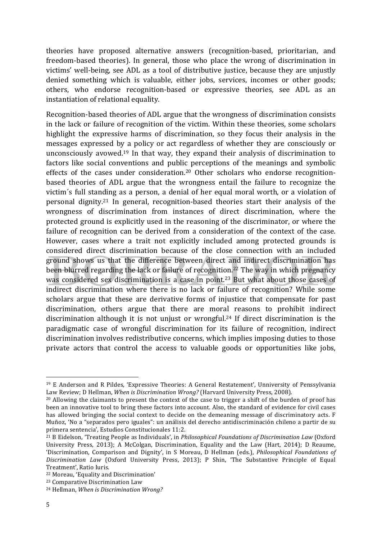theories have proposed alternative answers (recognition-based, prioritarian, and freedom-based theories). In general, those who place the wrong of discrimination in victims' well-being, see ADL as a tool of distributive justice, because they are unjustly denied something which is valuable, either jobs, services, incomes or other goods; others, who endorse recognition-based or expressive theories, see ADL as an instantiation of relational equality.

Recognition-based theories of ADL argue that the wrongness of discrimination consists in the lack or failure of recognition of the victim. Within these theories, some scholars highlight the expressive harms of discrimination, so they focus their analysis in the messages expressed by a policy or act regardless of whether they are consciously or unconsciously avowed.<sup>19</sup> In that way, they expand their analysis of discrimination to factors like social conventions and public perceptions of the meanings and symbolic effects of the cases under consideration.<sup>20</sup> Other scholars who endorse recognitionbased theories of ADL argue that the wrongness entail the failure to recognize the victim's full standing as a person, a denial of her equal moral worth, or a violation of personal dignity.<sup>21</sup> In general, recognition-based theories start their analysis of the wrongness of discrimination from instances of direct discrimination, where the protected ground is explicitly used in the reasoning of the discriminator, or where the failure of recognition can be derived from a consideration of the context of the case. However, cases where a trait not explicitly included among protected grounds is considered direct discrimination because of the close connection with an included ground shows us that the difference between direct and indirect discrimination has been blurred regarding the lack or failure of recognition.<sup>22</sup> The way in which pregnancy was considered sex discrimination is a case in point.<sup>23</sup> But what about those cases of indirect discrimination where there is no lack or failure of recognition? While some scholars argue that these are derivative forms of injustice that compensate for past discrimination, others argue that there are moral reasons to prohibit indirect discrimination although it is not unjust or wrongful.<sup>24</sup> If direct discrimination is the paradigmatic case of wrongful discrimination for its failure of recognition, indirect discrimination involves redistributive concerns, which implies imposing duties to those private actors that control the access to valuable goods or opportunities like jobs,

<sup>&</sup>lt;sup>19</sup> E Anderson and R Pildes, 'Expressive Theories: A General Restatement', Unniversity of Penssylvania Law Review; D Hellman, *When is Discrimination Wrong?* (Harvard University Press, 2008).

 $20$  Allowing the claimants to present the context of the case to trigger a shift of the burden of proof has been an innovative tool to bring these factors into account. Also, the standard of evidence for civil cases has allowed bringing the social context to decide on the demeaning message of discriminatory acts. F Muñoz, 'No a "separados pero iguales": un análisis del derecho antidiscriminación chileno a partir de su primera sentencia', Estudios Constitucionales 11:2.

<sup>&</sup>lt;sup>21</sup> B Eidelson, 'Treating People as Individuals', in *Philosophical Foundations of Discrimination Law* (Oxford University Press, 2013); A McColgan, Discrimination, Equality and the Law (Hart, 2014); D Reaume, 'Discrimination, Comparison and Dignity', in S Moreau, D Hellman (eds.), *Philosophical Foundations of Discrimination Law* (Oxford University Press, 2013); P Shin, 'The Substantive Principle of Equal Treatment', Ratio Iuris.

<sup>&</sup>lt;sup>22</sup> Moreau, 'Equality and Discrimination'

<sup>&</sup>lt;sup>23</sup> Comparative Discrimination Law

<sup>&</sup>lt;sup>24</sup> Hellman, *When is Discrimination Wrong?*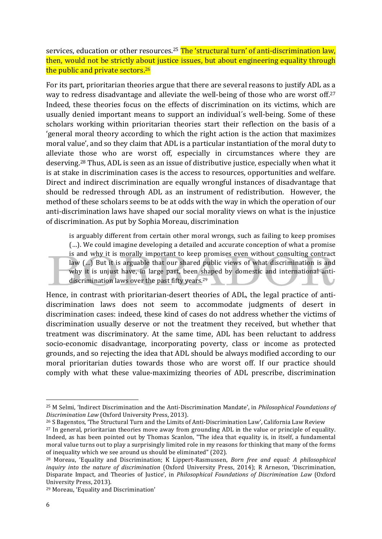services, education or other resources.<sup>25</sup> The 'structural turn' of anti-discrimination law, then, would not be strictly about justice issues, but about engineering equality through the public and private sectors.<sup>26</sup>

For its part, prioritarian theories argue that there are several reasons to justify ADL as a way to redress disadvantage and alleviate the well-being of those who are worst off.<sup>27</sup> Indeed, these theories focus on the effects of discrimination on its victims, which are usually denied important means to support an individual's well-being. Some of these scholars working within prioritarian theories start their reflection on the basis of a 'general moral theory according to which the right action is the action that maximizes moral value', and so they claim that ADL is a particular instantiation of the moral duty to alleviate those who are worst off, especially in circumstances where they are deserving.<sup>28</sup> Thus, ADL is seen as an issue of distributive justice, especially when what it is at stake in discrimination cases is the access to resources, opportunities and welfare. Direct and indirect discrimination are equally wrongful instances of disadvantage that should be redressed through ADL as an instrument of redistribution. However, the method of these scholars seems to be at odds with the way in which the operation of our anti-discrimination laws have shaped our social morality views on what is the injustice of discrimination. As put by Sophia Moreau, discrimination

is arguably different from certain other moral wrongs, such as failing to keep promises (...). We could imagine developing a detailed and accurate conception of what a promise is and why it is morally important to keep promises even without consulting contract law (...) But it is arguable that our shared public views of what discrimination is and why it is unjust have, in large part, been shaped by domestic and international antidiscrimination laws over the past fifty years.<sup>29</sup>

Hence, in contrast with prioritarian-desert theories of ADL, the legal practice of antidiscrimination laws does not seem to accommodate judgments of desert in discrimination cases: indeed, these kind of cases do not address whether the victims of discrimination usually deserve or not the treatment they received, but whether that treatment was discriminatory. At the same time, ADL has been reluctant to address socio-economic disadvantage, incorporating poverty, class or income as protected grounds, and so rejecting the idea that ADL should be always modified according to our moral prioritarian duties towards those who are worst off. If our practice should comply with what these value-maximizing theories of ADL prescribe, discrimination

<sup>&</sup>lt;sup>25</sup> M Selmi, 'Indirect Discrimination and the Anti-Discrimination Mandate', in *Philosophical Foundations of Discrimination Law* (Oxford University Press, 2013).

<sup>&</sup>lt;sup>26</sup> S Bagenstos, 'The Structural Turn and the Limits of Anti-Discrimination Law', California Law Review

 $27$  In general, prioritarian theories move away from grounding ADL in the value or principle of equality. Indeed, as has been pointed out by Thomas Scanlon, "The idea that equality is, in itself, a fundamental moral value turns out to play a surprisingly limited role in my reasons for thinking that many of the forms of inequality which we see around us should be eliminated" (202).

<sup>&</sup>lt;sup>28</sup> Moreau, 'Equality and Discrimination; K Lippert-Rasmussen, *Born free and equal: A philosophical inquiry into the nature of discrimination* (Oxford University Press, 2014); R Arneson, 'Discrimination, Disparate Impact, and Theories of Justice', in *Philosophical Foundations of Discrimination Law* (Oxford University Press, 2013).

<sup>&</sup>lt;sup>29</sup> Moreau, 'Equality and Discrimination'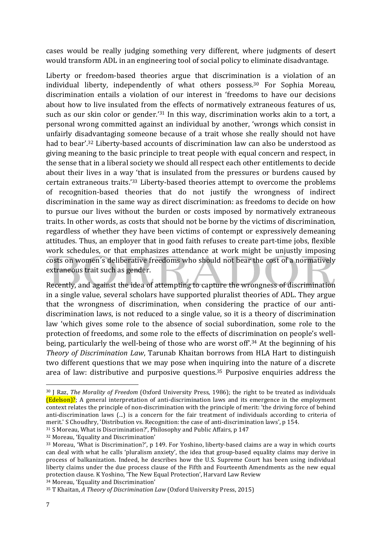cases would be really judging something very different, where judgments of desert would transform ADL in an engineering tool of social policy to eliminate disadvantage.

Liberty or freedom-based theories argue that discrimination is a violation of an individual liberty, independently of what others possess.<sup>30</sup> For Sophia Moreau, discrimination entails a violation of our interest in 'freedoms to have our decisions about how to live insulated from the effects of normatively extraneous features of us, such as our skin color or gender.<sup>'31</sup> In this way, discrimination works akin to a tort, a personal wrong committed against an individual by another, 'wrongs which consist in unfairly disadvantaging someone because of a trait whose she really should not have had to bear'.<sup>32</sup> Liberty-based accounts of discrimination law can also be understood as giving meaning to the basic principle to treat people with equal concern and respect, in the sense that in a liberal society we should all respect each other entitlements to decide about their lives in a way 'that is insulated from the pressures or burdens caused by certain extraneous traits.'33 Liberty-based theories attempt to overcome the problems of recognition-based theories that do not justify the wrongness of indirect discrimination in the same way as direct discrimination: as freedoms to decide on how to pursue our lives without the burden or costs imposed by normatively extraneous traits. In other words, as costs that should not be borne by the victims of discrimination, regardless of whether they have been victims of contempt or expressively demeaning attitudes. Thus, an employer that in good faith refuses to create part-time jobs, flexible work schedules, or that emphasizes attendance at work might be unjustly imposing costs on women's deliberative freedoms who should not bear the cost of a normatively extraneous trait such as gender.

Recently, and against the idea of attempting to capture the wrongness of discrimination in a single value, several scholars have supported pluralist theories of ADL. They argue that the wrongness of discrimination, when considering the practice of our antidiscrimination laws, is not reduced to a single value, so it is a theory of discrimination law 'which gives some role to the absence of social subordination, some role to the protection of freedoms, and some role to the effects of discrimination on people's wellbeing, particularly the well-being of those who are worst off<sup>', 34</sup> At the beginning of his *Theory of Discrimination Law*, Tarunab Khaitan borrows from HLA Hart to distinguish two different questions that we may pose when inquiring into the nature of a discrete area of law: distributive and purposive questions.<sup>35</sup> Purposive enquiries address the

<sup>&</sup>lt;sup>30</sup> J Raz, *The Morality of Freedom* (Oxford University Press, 1986); the right to be treated as individuals  $\left[\frac{\text{Edelson}}{i}\right]$ ?; A general interpretation of anti-discrimination laws and its emergence in the employment context relates the principle of non-discrimination with the principle of merit: 'the driving force of behind anti-discrimination laws  $(...)$  is a concern for the fair treatment of individuals according to criteria of merit.' S Choudhry, 'Distribution vs. Recognition: the case of anti-discrimination laws', p 154.

<sup>&</sup>lt;sup>31</sup> S Moreau, What is Discrimination?', Philosophy and Public Affairs, p 147

<sup>&</sup>lt;sup>32</sup> Moreau, 'Equality and Discrimination'

<sup>33</sup> Moreau, 'What is Discrimination?', p 149. For Yoshino, liberty-based claims are a way in which courts can deal with what he calls 'pluralism anxiety', the idea that group-based equality claims may derive in process of balkanization. Indeed, he describes how the U.S. Supreme Court has been using individual liberty claims under the due process clause of the Fifth and Fourteenth Amendments as the new equal protection clause. K Yoshino, 'The New Equal Protection', Harvard Law Review 34 Moreau, 'Equality and Discrimination'

<sup>&</sup>lt;sup>35</sup> T Khaitan, *A Theory of Discrimination Law* (Oxford University Press, 2015)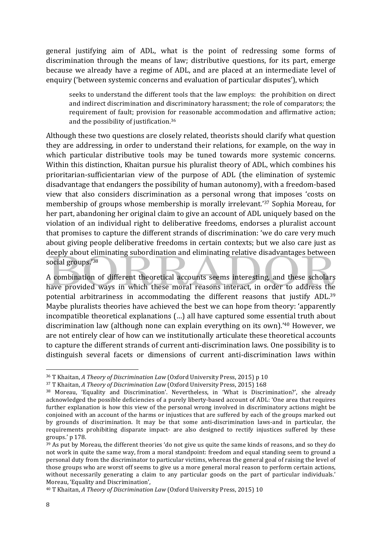general justifying aim of ADL, what is the point of redressing some forms of discrimination through the means of law; distributive questions, for its part, emerge because we already have a regime of ADL, and are placed at an intermediate level of enquiry ('between systemic concerns and evaluation of particular disputes'), which

seeks to understand the different tools that the law employs: the prohibition on direct and indirect discrimination and discriminatory harassment; the role of comparators; the requirement of fault; provision for reasonable accommodation and affirmative action; and the possibility of justification. $36$ 

Although these two questions are closely related, theorists should clarify what question they are addressing, in order to understand their relations, for example, on the way in which particular distributive tools may be tuned towards more systemic concerns. Within this distinction, Khaitan pursue his pluralist theory of ADL, which combines his prioritarian-sufficientarian view of the purpose of ADL (the elimination of systemic disadvantage that endangers the possibility of human autonomy), with a freedom-based view that also considers discrimination as a personal wrong that imposes 'costs on membership of groups whose membership is morally irrelevant.<sup>'37</sup> Sophia Moreau, for her part, abandoning her original claim to give an account of ADL uniquely based on the violation of an individual right to deliberative freedoms, endorses a pluralist account that promises to capture the different strands of discrimination: 'we do care very much about giving people deliberative freedoms in certain contexts; but we also care just as deeply about eliminating subordination and eliminating relative disadvantages between social groups.'38

A combination of different theoretical accounts seems interesting, and these scholars have provided ways in which these moral reasons interact, in order to address the potential arbitrariness in accommodating the different reasons that justify ADL.<sup>39</sup> Maybe pluralists theories have achieved the best we can hope from theory: 'apparently incompatible theoretical explanations (...) all have captured some essential truth about discrimination law (although none can explain everything on its own).<sup>'40</sup> However, we are not entirely clear of how can we institutionally articulate these theoretical accounts to capture the different strands of current anti-discrimination laws. One possibility is to distinguish several facets or dimensions of current anti-discrimination laws within

<sup>&</sup>lt;sup>36</sup> T Khaitan, *A Theory of Discrimination Law* (Oxford University Press, 2015) p 10

<sup>&</sup>lt;sup>37</sup> T Khaitan, *A Theory of Discrimination Law* (Oxford University Press, 2015) 168

<sup>38</sup> Moreau, 'Equality and Discrimination'. Nevertheless, in 'What is Discrimination?', she already acknowledged the possible deficiencies of a purely liberty-based account of ADL: 'One area that requires further explanation is how this view of the personal wrong involved in discriminatory actions might be conjoined with an account of the harms or injustices that are suffered by each of the groups marked out by grounds of discrimination. It may be that some anti-discrimination laws-and in particular, the requirements prohibiting disparate impact- are also designed to rectify injustices suffered by these groups.' p 178.

<sup>39</sup> As put by Moreau, the different theories 'do not give us quite the same kinds of reasons, and so they do not work in quite the same way, from a moral standpoint: freedom and equal standing seem to ground a personal duty from the discriminator to particular victims, whereas the general goal of raising the level of those groups who are worst off seems to give us a more general moral reason to perform certain actions, without necessarily generating a claim to any particular goods on the part of particular individuals.' Moreau, 'Equality and Discrimination',

<sup>&</sup>lt;sup>40</sup> T Khaitan, *A Theory of Discrimination Law* (Oxford University Press, 2015) 10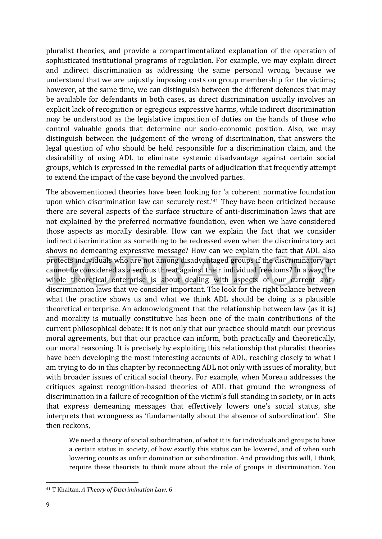pluralist theories, and provide a compartimentalized explanation of the operation of sophisticated institutional programs of regulation. For example, we may explain direct and indirect discrimination as addressing the same personal wrong, because we understand that we are unjustly imposing costs on group membership for the victims; however, at the same time, we can distinguish between the different defences that may be available for defendants in both cases, as direct discrimination usually involves an explicit lack of recognition or egregious expressive harms, while indirect discrimination may be understood as the legislative imposition of duties on the hands of those who control valuable goods that determine our socio-economic position. Also, we may distinguish between the judgement of the wrong of discrimination, that answers the legal question of who should be held responsible for a discrimination claim, and the desirability of using ADL to eliminate systemic disadvantage against certain social groups, which is expressed in the remedial parts of adjudication that frequently attempt to extend the impact of the case beyond the involved parties.

The abovementioned theories have been looking for 'a coherent normative foundation upon which discrimination law can securely rest.'<sup>41</sup> They have been criticized because there are several aspects of the surface structure of anti-discrimination laws that are not explained by the preferred normative foundation, even when we have considered those aspects as morally desirable. How can we explain the fact that we consider indirect discrimination as something to be redressed even when the discriminatory act shows no demeaning expressive message? How can we explain the fact that ADL also protects individuals who are not among disadvantaged groups if the discriminatory act cannot be considered as a serious threat against their individual freedoms? In a way, the whole theoretical enterprise is about dealing with aspects of our current antidiscrimination laws that we consider important. The look for the right balance between what the practice shows us and what we think ADL should be doing is a plausible theoretical enterprise. An acknowledgment that the relationship between law (as it is) and morality is mutually constitutive has been one of the main contributions of the current philosophical debate: it is not only that our practice should match our previous moral agreements, but that our practice can inform, both practically and theoretically, our moral reasoning. It is precisely by exploiting this relationship that pluralist theories have been developing the most interesting accounts of ADL, reaching closely to what I am trying to do in this chapter by reconnecting ADL not only with issues of morality, but with broader issues of critical social theory. For example, when Moreau addresses the critiques against recognition-based theories of ADL that ground the wrongness of discrimination in a failure of recognition of the victim's full standing in society, or in acts that express demeaning messages that effectively lowers one's social status, she interprets that wrongness as 'fundamentally about the absence of subordination'. She then reckons.

We need a theory of social subordination, of what it is for individuals and groups to have a certain status in society, of how exactly this status can be lowered, and of when such lowering counts as unfair domination or subordination. And providing this will, I think, require these theorists to think more about the role of groups in discrimination. You

<sup>&</sup>lt;sup>41</sup> T Khaitan, *A Theory of Discrimination Law*, 6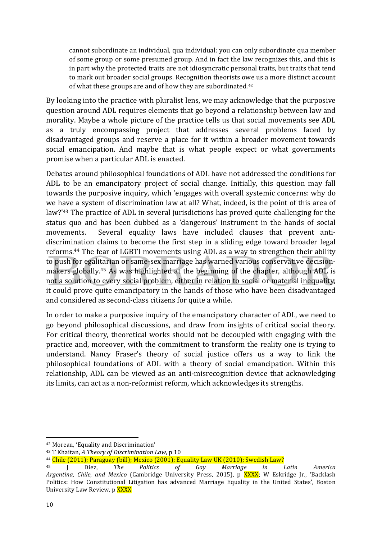cannot subordinate an individual, qua individual: you can only subordinate qua member of some group or some presumed group. And in fact the law recognizes this, and this is in part why the protected traits are not idiosyncratic personal traits, but traits that tend to mark out broader social groups. Recognition theorists owe us a more distinct account of what these groups are and of how they are subordinated.<sup>42</sup>

By looking into the practice with pluralist lens, we may acknowledge that the purposive question around ADL requires elements that go beyond a relationship between law and morality. Maybe a whole picture of the practice tells us that social movements see ADL as a truly encompassing project that addresses several problems faced by disadvantaged groups and reserve a place for it within a broader movement towards social emancipation. And maybe that is what people expect or what governments promise when a particular ADL is enacted.

Debates around philosophical foundations of ADL have not addressed the conditions for ADL to be an emancipatory project of social change. Initially, this question may fall towards the purposive inquiry, which 'engages with overall systemic concerns: why do we have a system of discrimination law at all? What, indeed, is the point of this area of law?'<sup>43</sup> The practice of ADL in several jurisdictions has proved quite challenging for the status quo and has been dubbed as a 'dangerous' instrument in the hands of social movements. Several equality laws have included clauses that prevent antidiscrimination claims to become the first step in a sliding edge toward broader legal reforms.<sup>44</sup> The fear of LGBTI movements using ADL as a way to strengthen their ability to push for egalitarian or same-sex marriage has warned various conservative decisionmakers globally.<sup>45</sup> As was highlighted at the beginning of the chapter, although ADL is not a solution to every social problem, either in relation to social or material inequality, it could prove quite emancipatory in the hands of those who have been disadvantaged and considered as second-class citizens for quite a while.

In order to make a purposive inquiry of the emancipatory character of ADL, we need to go beyond philosophical discussions, and draw from insights of critical social theory. For critical theory, theoretical works should not be decoupled with engaging with the practice and, moreover, with the commitment to transform the reality one is trying to understand. Nancy Fraser's theory of social justice offers us a way to link the philosophical foundations of ADL with a theory of social emancipation. Within this relationship, ADL can be viewed as an anti-misrecognition device that acknowledging its limits, can act as a non-reformist reform, which acknowledges its strengths.

<sup>&</sup>lt;sup>42</sup> Moreau, 'Equality and Discrimination'

<sup>&</sup>lt;sup>43</sup> T Khaitan, *A Theory of Discrimination Law*, p 10

 $44$  Chile (2011); Paraguay (bill); Mexico (2001); Equality Law UK (2010); Swedish Law?

<sup>45</sup> J Diez, *The Politics of Gay Marriage in Latin America* Argentina, Chile, and Mexico (Cambridge University Press, 2015), p XXXX; W Eskridge Jr., 'Backlash Politics: How Constitutional Litigation has advanced Marriage Equality in the United States', Boston University Law Review, p **XXXX**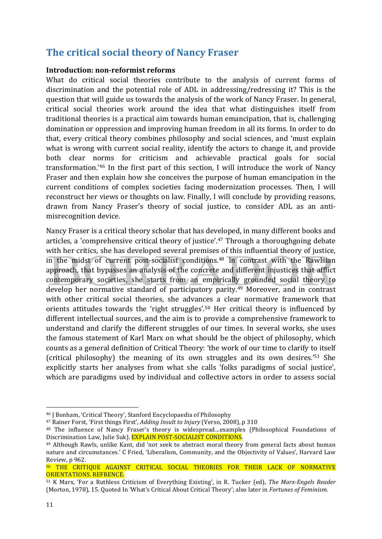# **The critical social theory of Nancy Fraser**

#### **Introduction: non-reformist reforms**

What do critical social theories contribute to the analysis of current forms of discrimination and the potential role of ADL in addressing/redressing it? This is the question that will guide us towards the analysis of the work of Nancy Fraser. In general, critical social theories work around the idea that what distinguishes itself from traditional theories is a practical aim towards human emancipation, that is, challenging domination or oppression and improving human freedom in all its forms. In order to do that, every critical theory combines philosophy and social sciences, and 'must explain what is wrong with current social reality, identify the actors to change it, and provide both clear norms for criticism and achievable practical goals for social transformation.'46 In the first part of this section, I will introduce the work of Nancy Fraser and then explain how she conceives the purpose of human emancipation in the current conditions of complex societies facing modernization processes. Then, I will reconstruct her views or thoughts on law. Finally, I will conclude by providing reasons, drawn from Nancy Fraser's theory of social justice, to consider ADL as an antimisrecognition device. 

Nancy Fraser is a critical theory scholar that has developed, in many different books and articles, a 'comprehensive critical theory of justice'.<sup>47</sup> Through a thoroughgoing debate with her critics, she has developed several premises of this influential theory of justice, in the midst of current post-socialist conditions.<sup>48</sup> In contrast with the Rawlsian approach, that bypasses an analysis of the concrete and different injustices that afflict contemporary societies, she starts from an empirically grounded social theory to develop her normative standard of participatory parity.<sup>49</sup> Moreover, and in contrast with other critical social theories, she advances a clear normative framework that orients attitudes towards the 'right struggles'.<sup>50</sup> Her critical theory is influenced by different intellectual sources, and the aim is to provide a comprehensive framework to understand and clarify the different struggles of our times. In several works, she uses the famous statement of Karl Marx on what should be the object of philosophy, which counts as a general definition of Critical Theory: 'the work of our time to clarify to itself (critical philosophy) the meaning of its own struggles and its own desires.'<sup>51</sup> She explicitly starts her analyses from what she calls 'folks paradigms of social justice', which are paradigms used by individual and collective actors in order to assess social

<sup>&</sup>lt;sup>46</sup> J Bonham, 'Critical Theory', Stanford Encyclopaedia of Philosophy

<sup>&</sup>lt;sup>47</sup> Rainer Forst, 'First things First', *Adding Insult to Injury* (Verso, 2008), p 310

<sup>&</sup>lt;sup>48</sup> The influence of Nancy Fraser's theory is widespread…examples (Philosophical Foundations of Discrimination Law, Julie Suk). EXPLAIN POST-SOCIALIST CONDITIONS.

<sup>&</sup>lt;sup>49</sup> Although Rawls, unlike Kant, did 'not seek to abstract moral theory from general facts about human nature and circumstances.' C Fried, 'Liberalism, Community, and the Objectivity of Values', Harvard Law Review, p 962.

<sup>50</sup> THE CRITIQUE AGAINST CRITICAL SOCIAL THEORIES FOR THEIR LACK OF NORMATIVE ORIENTATIONS. REFRENCE.

<sup>51</sup> K Marx, 'For a Ruthless Criticism of Everything Existing', in R. Tucker (ed), *The Marx-Engels Reader* (Morton, 1978), 15. Quoted In 'What's Critical About Critical Theory'; also later in *Fortunes of Feminism*.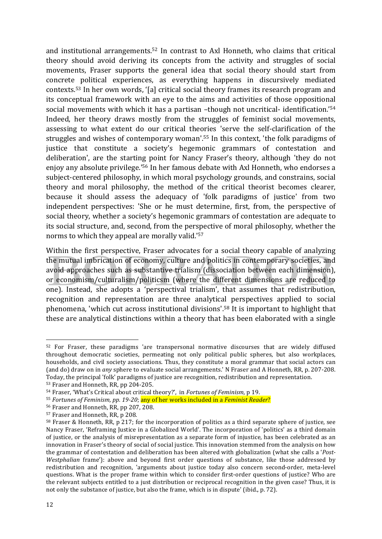and institutional arrangements.<sup>52</sup> In contrast to Axl Honneth, who claims that critical theory should avoid deriving its concepts from the activity and struggles of social movements, Fraser supports the general idea that social theory should start from concrete political experiences, as everything happens in discursively mediated contexts.<sup>53</sup> In her own words, '[a] critical social theory frames its research program and its conceptual framework with an eye to the aims and activities of those oppositional social movements with which it has a partisan -though not uncritical- identification.<sup>'54</sup> Indeed, her theory draws mostly from the struggles of feminist social movements, assessing to what extent do our critical theories 'serve the self-clarification of the struggles and wishes of contemporary woman'.<sup>55</sup> In this context, 'the folk paradigms of justice that constitute a society's hegemonic grammars of contestation and deliberation', are the starting point for Nancy Fraser's theory, although 'they do not enjoy any absolute privilege.<sup>'56</sup> In her famous debate with Axl Honneth, who endorses a subject-centered philosophy, in which moral psychology grounds, and constrains, social theory and moral philosophy, the method of the critical theorist becomes clearer, because it should assess the adequacy of 'folk paradigms of justice' from two independent perspectives: 'She or he must determine, first, from, the perspective of social theory, whether a society's hegemonic grammars of contestation are adequate to its social structure, and, second, from the perspective of moral philosophy, whether the norms to which they appeal are morally valid.<sup>'57</sup>

Within the first perspective, Fraser advocates for a social theory capable of analyzing the mutual imbrication of economy, culture and politics in contemporary societies, and avoid approaches such as substantive trialism (dissociation between each dimension), or economism/culturalism/politicsm (where the different dimensions are reduced to one). Instead, she adopts a 'perspectival trialism', that assumes that redistribution, recognition and representation are three analytical perspectives applied to social phenomena, 'which cut across institutional divisions'.<sup>58</sup> It is important to highlight that these are analytical distinctions within a theory that has been elaborated with a single

<sup>&</sup>lt;u> 1989 - Jan Samuel Barbara, margaret e</u> 52 For Fraser, these paradigms 'are transpersonal normative discourses that are widely diffused throughout democratic societies, permeating not only political public spheres, but also workplaces, households, and civil society associations. Thus, they constitute a moral grammar that social actors can (and do) draw on in *any* sphere to evaluate social arrangements.' N Fraser and A Honneth, RR, p. 207-208. Today, the principal 'folk' paradigms of justice are recognition, redistribution and representation.

<sup>53</sup> Fraser and Honneth, RR, pp 204-205.

<sup>54</sup> Fraser, 'What's Critical about critical theory?', in *Fortunes of Feminism*, p 19.

<sup>55</sup> *Fortunes of Feminism, pp. 19-20*; any of her works included in a *Feminist Reader*?

<sup>&</sup>lt;sup>56</sup> Fraser and Honneth, RR, pp 207, 208.

<sup>&</sup>lt;sup>57</sup> Fraser and Honneth, RR, p 208.

 $58$  Fraser & Honneth, RR, p 217; for the incorporation of politics as a third separate sphere of justice, see Nancy Fraser, 'Reframing Justice in a Globalized World'. The incorporation of 'politics' as a third domain of justice, or the analysis of misrepresentation as a separate form of injustice, has been celebrated as an innovation in Fraser's theory of social of social justice. This innovation stemmed from the analysis on how the grammar of contestation and deliberation has been altered with globalization (what she calls a '*Post-Westphalian* frame'): above and beyond first order questions of substance, like those addressed by redistribution and recognition, 'arguments about justice today also concern second-order, meta-level questions. What is the proper frame within which to consider first-order questions of justice? Who are the relevant subjects entitled to a just distribution or reciprocal recognition in the given case? Thus, it is not only the substance of justice, but also the frame, which is in dispute' (ibid., p. 72).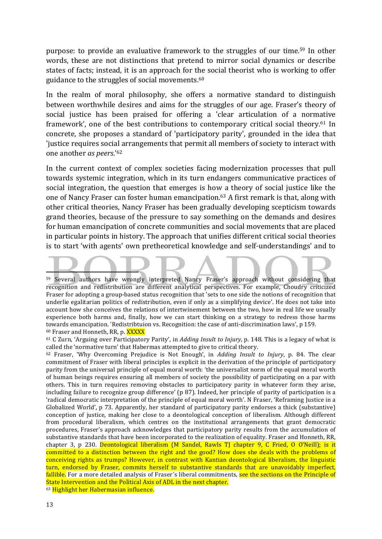purpose: to provide an evaluative framework to the struggles of our time.<sup>59</sup> In other words, these are not distinctions that pretend to mirror social dynamics or describe states of facts; instead, it is an approach for the social theorist who is working to offer guidance to the struggles of social movements. $60$ 

In the realm of moral philosophy, she offers a normative standard to distinguish between worthwhile desires and aims for the struggles of our age. Fraser's theory of social justice has been praised for offering a 'clear articulation of a normative framework', one of the best contributions to contemporary critical social theory.<sup>61</sup> In concrete, she proposes a standard of 'participatory parity', grounded in the idea that 'justice requires social arrangements that permit all members of society to interact with one another *as peers*.<sup>'62</sup>

In the current context of complex societies facing modernization processes that pull towards systemic integration, which in its turn endangers communicative practices of social integration, the question that emerges is how a theory of social justice like the one of Nancy Fraser can foster human emancipation.<sup>63</sup> A first remark is that, along with other critical theories, Nancy Fraser has been gradually developing scepticism towards grand theories, because of the pressure to say something on the demands and desires for human emancipation of concrete communities and social movements that are placed in particular points in history. The approach that unifies different critical social theories is to start 'with agents' own pretheoretical knowledge and self-understandings' and to

63 Highlight her Habermasian influence.

\_\_\_\_\_\_\_\_\_\_\_\_ 59 Several authors have wrongly interpreted Nancy Fraser's approach without considering that recognition and redistribution are different analytical perspectives. For example, Choudry criticized Fraser for adopting a group-based status recognition that 'sets to one side the notions of recognition that underlie egalitarian politics of redistribution, even if only as a simplifying device'. He does not take into account how she conceives the relations of intertwinement between the two, how in real life we usually experience both harms and, finally, how we can start thinking on a strategy to redress those harms towards emancipation. 'Redistribtuion vs. Recognition: the case of anti-discrimination laws', p 159. 60 Fraser and Honneth, RR, p. XXXXX

 $61$  C Zurn, 'Arguing over Participatory Parity', in *Adding Insult to Injury*, p. 148. This is a legacy of what is called the 'normative turn' that Habermas attempted to give to critical theory.

<sup>&</sup>lt;sup>62</sup> Fraser, 'Why Overcoming Prejudice is Not Enough', in *Adding Insult to Injury*, p. 84. The clear commitment of Fraser with liberal principles is explicit in the derivation of the principle of participatory parity from the universal principle of equal moral worth: 'the universalist norm of the equal moral worth of human beings requires ensuring all members of society the possibility of participating on a par with others. This in turn requires removing obstacles to participatory parity in whatever form they arise, including failure to recognize group difference' ( $p \, 87$ ). Indeed, her principle of parity of participation is a 'radical democratic interpretation of the principle of equal moral worth'. N Fraser, 'Reframing Justice in a Globalized World', p 73. Apparently, her standard of participatory parity endorses a thick (substantive) conception of justice, making her close to a deontological conception of liberalism. Although different from procedural liberalism, which centres on the institutional arrangements that grant democratic procedures, Fraser's approach acknowledges that participatory parity results from the accumulation of substantive standards that have been incorporated to the realization of equality. Fraser and Honneth, RR, chapter 3, p 230. Deontological liberalism (M Sandel, Rawls TJ chapter 9, C Fried, O O'Neill); is it committed to a distinction between the right and the good? How does she deals with the problems of conceiving rights as trumps? However, in contrast with Kantian deontological liberalism, the linguistic turn, endorsed by Fraser, commits herself to substantive standards that are unavoidably imperfect, fallible. For a more detailed analysis of Fraser's liberal commitments, see the sections on the Principle of State Intervention and the Political Axis of ADL in the next chapter.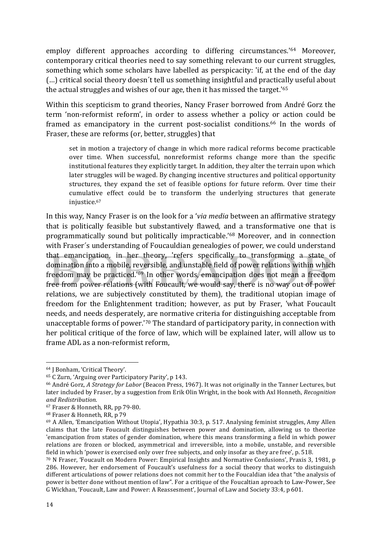employ different approaches according to differing circumstances.<sup>164</sup> Moreover, contemporary critical theories need to say something relevant to our current struggles, something which some scholars have labelled as perspicacity: 'if, at the end of the day (...) critical social theory doesn't tell us something insightful and practically useful about the actual struggles and wishes of our age, then it has missed the target.'<sup>65</sup>

Within this scepticism to grand theories, Nancy Fraser borrowed from André Gorz the term 'non-reformist reform', in order to assess whether a policy or action could be framed as emancipatory in the current post-socialist conditions.<sup>66</sup> In the words of Fraser, these are reforms (or, better, struggles) that

set in motion a trajectory of change in which more radical reforms become practicable over time. When successful, nonreformist reforms change more than the specific institutional features they explicitly target. In addition, they alter the terrain upon which later struggles will be waged. By changing incentive structures and political opportunity structures, they expand the set of feasible options for future reform. Over time their cumulative effect could be to transform the underlying structures that generate injustice.67

In this way, Nancy Fraser is on the look for a *'via media* between an affirmative strategy that is politically feasible but substantively flawed, and a transformative one that is programmatically sound but politically impracticable.'<sup>68</sup> Moreover, and in connection with Fraser's understanding of Foucauldian genealogies of power, we could understand that emancipation, in her theory, 'refers specifically to transforming a state of domination into a mobile, reversible, and unstable field of power relations within which freedom may be practiced.<sup>'69</sup> In other words, emancipation does not mean a freedom free from power relations (with Foucault, we would say, there is no way out of power relations, we are subjectively constituted by them), the traditional utopian image of freedom for the Enlightenment tradition; however, as put by Fraser, 'what Foucault needs, and needs desperately, are normative criteria for distinguishing acceptable from unacceptable forms of power.<sup>'70</sup> The standard of participatory parity, in connection with her political critique of the force of law, which will be explained later, will allow us to frame ADL as a non-reformist reform.

<sup>&</sup>lt;sup>64</sup> J Bonham, 'Critical Theory'.

<sup>&</sup>lt;sup>65</sup> C Zurn, 'Arguing over Participatory Parity', p 143.

<sup>&</sup>lt;sup>66</sup> André Gorz, *A Strategy for Labor* (Beacon Press, 1967). It was not originally in the Tanner Lectures, but later included by Fraser, by a suggestion from Erik Olin Wright, in the book with Axl Honneth, *Recognition and Redistribution*. 

 $67$  Fraser & Honneth, RR, pp 79-80.

<sup>&</sup>lt;sup>68</sup> Fraser & Honneth, RR, p 79

 $69$  A Allen, 'Emancipation Without Utopia', Hypathia 30:3, p. 517. Analysing feminist struggles, Amy Allen claims that the late Foucault distinguishes between power and domination, allowing us to theorize 'emancipation from states of gender domination, where this means transforming a field in which power relations are frozen or blocked, asymmetrical and irreversible, into a mobile, unstable, and reversible field in which 'power is exercised only over free subjects, and only insofar as they are free', p. 518.

<sup>70</sup> N Fraser, 'Foucault on Modern Power: Empirical Insights and Normative Confusions', Praxis 3, 1981, p 286. However, her endorsement of Foucault's usefulness for a social theory that works to distinguish different articulations of power relations does not commit her to the Foucaldian idea that "the analysis of power is better done without mention of law". For a critique of the Foucaltian aproach to Law-Power, See G Wickhan, 'Foucault, Law and Power: A Reassesment', Journal of Law and Society 33:4, p 601.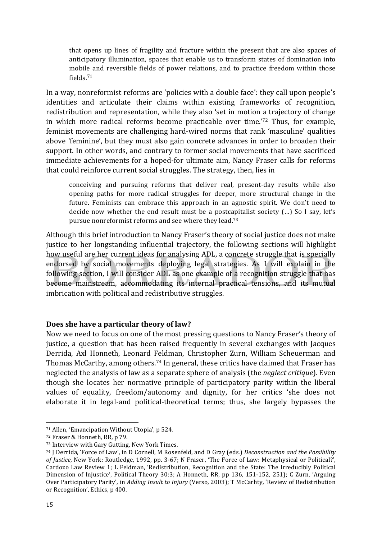that opens up lines of fragility and fracture within the present that are also spaces of anticipatory illumination, spaces that enable us to transform states of domination into mobile and reversible fields of power relations, and to practice freedom within those fields. 71

In a way, nonreformist reforms are 'policies with a double face': they call upon people's identities and articulate their claims within existing frameworks of recognition, redistribution and representation, while they also 'set in motion a trajectory of change in which more radical reforms become practicable over time.<sup>'72</sup> Thus, for example, feminist movements are challenging hard-wired norms that rank 'masculine' qualities above 'feminine', but they must also gain concrete advances in order to broaden their support. In other words, and contrary to former social movements that have sacrificed immediate achievements for a hoped-for ultimate aim, Nancy Fraser calls for reforms that could reinforce current social struggles. The strategy, then, lies in

conceiving and pursuing reforms that deliver real, present-day results while also opening paths for more radical struggles for deeper, more structural change in the future. Feminists can embrace this approach in an agnostic spirit. We don't need to decide now whether the end result must be a postcapitalist society  $(...)$  So I say, let's pursue nonreformist reforms and see where they lead.<sup>73</sup>

Although this brief introduction to Nancy Fraser's theory of social justice does not make justice to her longstanding influential trajectory, the following sections will highlight how useful are her current ideas for analysing ADL, a concrete struggle that is specially endorsed by social movements deploying legal strategies. As I will explain in the following section, I will consider ADL as one example of a recognition struggle that has become mainstream, accommodating its internal practical tensions, and its mutual imbrication with political and redistributive struggles.

## **Does she have a particular theory of law?**

Now we need to focus on one of the most pressing questions to Nancy Fraser's theory of justice, a question that has been raised frequently in several exchanges with Jacques Derrida, Axl Honneth, Leonard Feldman, Christopher Zurn, William Scheuerman and Thomas McCarthy, among others.<sup>74</sup> In general, these critics have claimed that Fraser has neglected the analysis of law as a separate sphere of analysis (the *neglect critique*). Even though she locates her normative principle of participatory parity within the liberal values of equality, freedom/autonomy and dignity, for her critics 'she does not elaborate it in legal-and political-theoretical terms; thus, she largely bypasses the

 $71$  Allen, 'Emancipation Without Utopia', p 524.

<sup>72</sup> Fraser & Honneth, RR, p 79.

<sup>73</sup> Interview with Gary Gutting, New York Times.

<sup>&</sup>lt;sup>74</sup> J Derrida, 'Force of Law', in D Cornell, M Rosenfeld, and D Gray (eds.) *Deconstruction and the Possibility of Justice*, New York: Routledge, 1992, pp. 3-67; N Fraser, 'The Force of Law: Metaphysical or Political?', Cardozo Law Review 1; L Feldman, 'Redistribution, Recognition and the State: The Irreducibly Political Dimension of Injustice', Political Theory 30:3; A Honneth, RR, pp 136, 151-152, 251); C Zurn, 'Arguing Over Participatory Parity', in *Adding Insult to Injury* (Verso, 2003); T McCarhty, 'Review of Redistribution or Recognition', Ethics, p 400.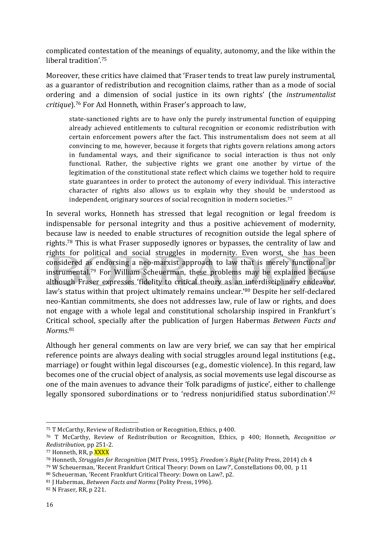complicated contestation of the meanings of equality, autonomy, and the like within the liberal tradition'.<sup>75</sup>

Moreover, these critics have claimed that 'Fraser tends to treat law purely instrumental. as a guarantor of redistribution and recognition claims, rather than as a mode of social ordering and a dimension of social justice in its own rights' (the *instrumentalist critique*).<sup>76</sup> For Axl Honneth, within Fraser's approach to law,

state-sanctioned rights are to have only the purely instrumental function of equipping already achieved entitlements to cultural recognition or economic redistribution with certain enforcement powers after the fact. This instrumentalism does not seem at all convincing to me, however, because it forgets that rights govern relations among actors in fundamental ways, and their significance to social interaction is thus not only functional. Rather, the subjective rights we grant one another by virtue of the legitimation of the constitutional state reflect which claims we together hold to require state guarantees in order to protect the autonomy of every individual. This interactive character of rights also allows us to explain why they should be understood as independent, originary sources of social recognition in modern societies.<sup>77</sup>

In several works, Honneth has stressed that legal recognition or legal freedom is indispensable for personal integrity and thus a positive achievement of modernity, because law is needed to enable structures of recognition outside the legal sphere of rights.<sup>78</sup> This is what Fraser supposedly ignores or bypasses, the centrality of law and rights for political and social struggles in modernity. Even worst, she has been considered as endorsing a neo-marxist approach to law that is merely functional or instrumental.<sup>79</sup> For William Scheuerman, these problems may be explained because although Fraser expresses 'fidelity to critical theory as an interdisciplinary endeavor, law's status within that project ultimately remains unclear.'<sup>80</sup> Despite her self-declared neo-Kantian commitments, she does not addresses law, rule of law or rights, and does not engage with a whole legal and constitutional scholarship inspired in Frankfurt's Critical school, specially after the publication of Jurgen Habermas *Between Facts and Norms*. 81

Although her general comments on law are very brief, we can say that her empirical reference points are always dealing with social struggles around legal institutions (e.g., marriage) or fought within legal discourses (e.g., domestic violence). In this regard, law becomes one of the crucial object of analysis, as social movements use legal discourse as one of the main avenues to advance their 'folk paradigms of justice', either to challenge legally sponsored subordinations or to 'redress nonjuridified status subordination'.<sup>82</sup>

<sup>&</sup>lt;sup>75</sup> T McCarthy, Review of Redistribution or Recognition, Ethics,  $p$  400.

<sup>&</sup>lt;sup>76</sup> T McCarthy, Review of Redistribution or Recognition, Ethics, p 400; Honneth, *Recognition* or *Redistribution*, pp 251-2. 

<sup>77</sup> Honneth, RR, p XXXX

<sup>78</sup> Honneth, *Struggles for Recognition* (MIT Press, 1995); *Freedom's Right* (Polity Press, 2014) ch 4

 $79$  W Scheuerman, 'Recent Frankfurt Critical Theory: Down on Law?', Constellations 00, 00, p 11

<sup>80</sup> Scheuerman, 'Recent Frankfurt Critical Theory: Down on Law?, p2.

<sup>81</sup> J Habermas, *Between Facts and Norms* (Polity Press, 1996).

<sup>82</sup> N Fraser, RR, p 221.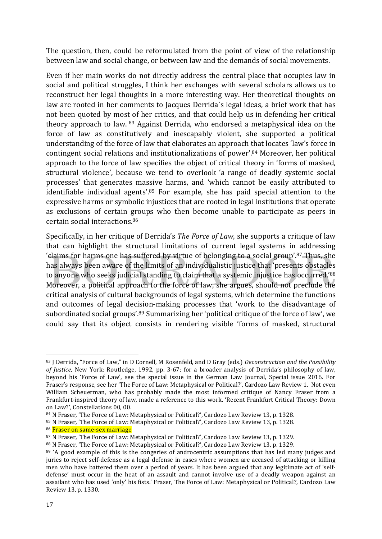The question, then, could be reformulated from the point of view of the relationship between law and social change, or between law and the demands of social movements.

Even if her main works do not directly address the central place that occupies law in social and political struggles, I think her exchanges with several scholars allows us to reconstruct her legal thoughts in a more interesting way. Her theoretical thoughts on law are rooted in her comments to Jacques Derrida's legal ideas, a brief work that has not been quoted by most of her critics, and that could help us in defending her critical theory approach to law.  $83$  Against Derrida, who endorsed a metaphysical idea on the force of law as constitutively and inescapably violent, she supported a political understanding of the force of law that elaborates an approach that locates 'law's force in contingent social relations and institutionalizations of power'.<sup>84</sup> Moreover, her political approach to the force of law specifies the object of critical theory in 'forms of masked, structural violence', because we tend to overlook 'a range of deadly systemic social processes' that generates massive harms, and 'which cannot be easily attributed to identifiable individual agents'. $85$  For example, she has paid special attention to the expressive harms or symbolic injustices that are rooted in legal institutions that operate as exclusions of certain groups who then become unable to participate as peers in certain social interactions.<sup>86</sup>

Specifically, in her critique of Derrida's *The Force of Law*, she supports a critique of law that can highlight the structural limitations of current legal systems in addressing 'claims for harms one has suffered by virtue of belonging to a social group'.<sup>87</sup> Thus, she has always been aware of the limits of an individualistic justice that 'presents obstacles to anyone who seeks judicial standing to claim that a systemic injustice has occurred.'88 Moreover, a political approach to the force of law, she argues, should not preclude the critical analysis of cultural backgrounds of legal systems, which determine the functions and outcomes of legal decision-making processes that 'work to the disadvantage of subordinated social groups'.<sup>89</sup> Summarizing her 'political critique of the force of law', we could say that its object consists in rendering visible 'forms of masked, structural

86 Fraser on same-sex marriage

 83 J Derrida, "Force of Law," in D Cornell, M Rosenfeld, and D Gray (eds.) *Deconstruction and the Possibility* of Justice, New York: Routledge, 1992, pp. 3-67; for a broader analysis of Derrida's philosophy of law, beyond his 'Force of Law', see the special issue in the German Law Journal, Special issue 2016. For Fraser's response, see her 'The Force of Law: Metaphysical or Political?', Cardozo Law Review 1. Not even William Scheuerman, who has probably made the most informed critique of Nancy Fraser from a Frankfurt-inspired theory of law, made a reference to this work. 'Recent Frankfurt Critical Theory: Down on Law?', Constellations 00, 00.

 $84$  N Fraser, 'The Force of Law: Metaphysical or Political?', Cardozo Law Review 13, p. 1328.

<sup>85</sup> N Fraser, 'The Force of Law: Metaphysical or Political?', Cardozo Law Review 13, p. 1328.

<sup>87</sup> N Fraser, 'The Force of Law: Metaphysical or Political?', Cardozo Law Review 13, p. 1329.

<sup>88</sup> N Fraser, 'The Force of Law: Metaphysical or Political?', Cardozo Law Review 13, p. 1329.

<sup>89 &#</sup>x27;A good example of this is the congeries of androcentric assumptions that has led many judges and juries to reject self-defense as a legal defense in cases where women are accused of attacking or killing men who have battered them over a period of years. It has been argued that any legitimate act of 'selfdefense' must occur in the heat of an assault and cannot involve use of a deadly weapon against an assailant who has used 'only' his fists.' Fraser, The Force of Law: Metaphysical or Political?, Cardozo Law Review 13, p. 1330.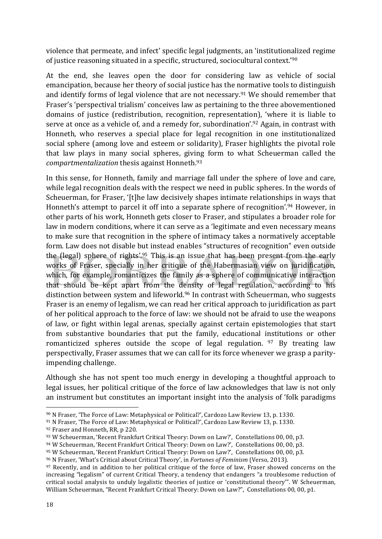violence that permeate, and infect' specific legal judgments, an 'institutionalized regime of justice reasoning situated in a specific, structured, sociocultural context.<sup>'90</sup>

At the end, she leaves open the door for considering law as vehicle of social emancipation, because her theory of social justice has the normative tools to distinguish and identify forms of legal violence that are not necessary.<sup>91</sup> We should remember that Fraser's 'perspectival trialism' conceives law as pertaining to the three abovementioned domains of justice (redistribution, recognition, representation), 'where it is liable to serve at once as a vehicle of, and a remedy for, subordination'.<sup>92</sup> Again, in contrast with Honneth, who reserves a special place for legal recognition in one institutionalized social sphere (among love and esteem or solidarity), Fraser highlights the pivotal role that law plays in many social spheres, giving form to what Scheuerman called the *compartmentalization* thesis against Honneth.<sup>93</sup>

In this sense, for Honneth, family and marriage fall under the sphere of love and care, while legal recognition deals with the respect we need in public spheres. In the words of Scheuerman, for Fraser, '[t]he law decisively shapes intimate relationships in ways that Honneth's attempt to parcel it off into a separate sphere of recognition'.<sup>94</sup> However, in other parts of his work, Honneth gets closer to Fraser, and stipulates a broader role for law in modern conditions, where it can serve as a 'legitimate and even necessary means to make sure that recognition in the sphere of intimacy takes a normatively acceptable form. Law does not disable but instead enables "structures of recognition" even outside the (legal) sphere of rights'.<sup>95</sup> This is an issue that has been present from the early works of Fraser, specially in her critique of the Habermasian view on juridification, which, for example, romanticizes the family as a sphere of communicative interaction that should be kept apart from the density of legal regulation, according to his distinction between system and lifeworld.<sup>96</sup> In contrast with Scheuerman, who suggests Fraser is an enemy of legalism, we can read her critical approach to juridification as part of her political approach to the force of law: we should not be afraid to use the weapons of law, or fight within legal arenas, specially against certain epistemologies that start from substantive boundaries that put the family, educational institutions or other romanticized spheres outside the scope of legal regulation.  $97$  By treating law perspectivally, Fraser assumes that we can call for its force whenever we grasp a parityimpending challenge.

Although she has not spent too much energy in developing a thoughtful approach to legal issues, her political critique of the force of law acknowledges that law is not only an instrument but constitutes an important insight into the analysis of 'folk paradigms

 $90$  N Fraser, 'The Force of Law: Metaphysical or Political?', Cardozo Law Review 13, p. 1330.

<sup>91</sup> N Fraser, 'The Force of Law: Metaphysical or Political?', Cardozo Law Review 13, p. 1330.

<sup>92</sup> Fraser and Honneth, RR, p 220.

<sup>93</sup> W Scheuerman, 'Recent Frankfurt Critical Theory: Down on Law?', Constellations 00, 00, p3.

<sup>94</sup> W Scheuerman, 'Recent Frankfurt Critical Theory: Down on Law?', Constellations 00, 00, p3.

<sup>95</sup> W Scheuerman, 'Recent Frankfurt Critical Theory: Down on Law?', Constellations 00, 00, p3.

<sup>&</sup>lt;sup>96</sup> N Fraser, 'What's Critical about Critical Theory', in *Fortunes of Feminism* (Verso, 2013).

 $97$  Recently, and in addition to her political critique of the force of law, Fraser showed concerns on the increasing "legalism" of current Critical Theory, a tendency that endangers "a troublesome reduction of critical social analysis to unduly legalistic theories of justice or 'constitutional theory'". W Scheuerman, William Scheuerman, "Recent Frankfurt Critical Theory: Down on Law?", Constellations 00, 00, p1.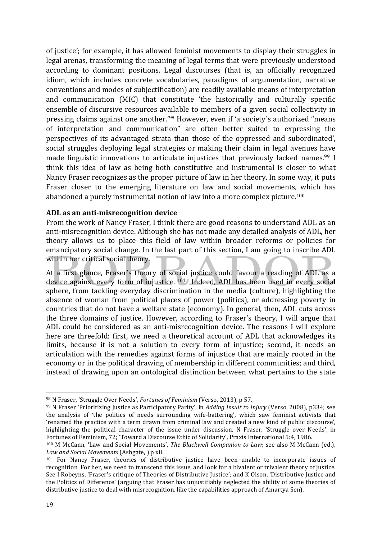of justice'; for example, it has allowed feminist movements to display their struggles in legal arenas, transforming the meaning of legal terms that were previously understood according to dominant positions. Legal discourses (that is, an officially recognized idiom, which includes concrete vocabularies, paradigms of argumentation, narrative conventions and modes of subjectification) are readily available means of interpretation and communication (MIC) that constitute 'the historically and culturally specific ensemble of discursive resources available to members of a given social collectivity in pressing claims against one another.'<sup>98</sup> However, even if 'a society's authorized "means of interpretation and communication" are often better suited to expressing the perspectives of its advantaged strata than those of the oppressed and subordinated', social struggles deploying legal strategies or making their claim in legal avenues have made linguistic innovations to articulate injustices that previously lacked names.<sup>99</sup> I think this idea of law as being both constitutive and instrumental is closer to what Nancy Fraser recognizes as the proper picture of law in her theory. In some way, it puts Fraser closer to the emerging literature on law and social movements, which has abandoned a purely instrumental notion of law into a more complex picture.<sup>100</sup>

## **ADL as an anti-misrecognition device**

 

From the work of Nancy Fraser, I think there are good reasons to understand ADL as an anti-misrecognition device. Although she has not made any detailed analysis of ADL, her theory allows us to place this field of law within broader reforms or policies for emancipatory social change. In the last part of this section, I am going to inscribe ADL within her critical social theory.

At a first glance, Fraser's theory of social justice could favour a reading of ADL as a device against every form of injustice. <sup>101</sup> Indeed, ADL has been used in every social sphere, from tackling everyday discrimination in the media (culture), highlighting the absence of woman from political places of power (politics), or addressing poverty in countries that do not have a welfare state (economy). In general, then, ADL cuts across the three domains of justice. However, according to Fraser's theory, I will argue that ADL could be considered as an anti-misrecognition device. The reasons I will explore here are threefold: first, we need a theoretical account of ADL that acknowledges its limits, because it is not a solution to every form of injustice; second, it needs an articulation with the remedies against forms of injustice that are mainly rooted in the economy or in the political drawing of membership in different communities; and third, instead of drawing upon an ontological distinction between what pertains to the state

<sup>98</sup> N Fraser, 'Struggle Over Needs', *Fortunes of Feminism* (Verso, 2013), p 57.

<sup>99</sup> N Fraser 'Prioritizing Justice as Participatory Parity', in *Adding Insult to Injury* (Verso, 2008), p334; see the analysis of 'the politics of needs surrounding wife-battering', which saw feminist activists that 'renamed the practice with a term drawn from criminal law and created a new kind of public discourse', highlighting the political character of the issue under discussion, N Fraser, 'Struggle over Needs', in Fortunes of Feminism, 72; 'Toward a Discourse Ethic of Solidarity', Praxis International 5:4, 1986.

<sup>100</sup> M McCann, 'Law and Social Movements', *The Blackwell Companion to Law*; see also M McCann (ed.), Law and Social Movements (Ashgate, ) p xii.

<sup>&</sup>lt;sup>101</sup> For Nancy Fraser, theories of distributive justice have been unable to incorporate issues of recognition. For her, we need to transcend this issue, and look for a bivalent or trivalent theory of justice. See I Robeyns, 'Fraser's critique of Theories of Distributive Justice'; and K Olson, 'Distributive Justice and the Politics of Difference' (arguing that Fraser has unjustifiably neglected the ability of some theories of distributive justice to deal with misrecognition, like the capabilities approach of Amartya Sen).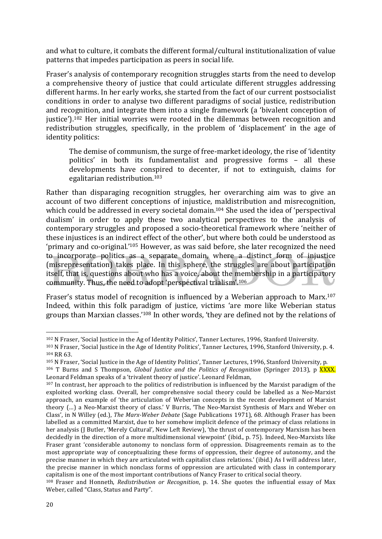and what to culture, it combats the different formal/cultural institutionalization of value patterns that impedes participation as peers in social life.

Fraser's analysis of contemporary recognition struggles starts from the need to develop a comprehensive theory of justice that could articulate different struggles addressing different harms. In her early works, she started from the fact of our current postsocialist conditions in order to analyse two different paradigms of social justice, redistribution and recognition, and integrate them into a single framework (a 'bivalent conception of justice').<sup>102</sup> Her initial worries were rooted in the dilemmas between recognition and redistribution struggles, specifically, in the problem of 'displacement' in the age of identity politics:

The demise of communism, the surge of free-market ideology, the rise of 'identity politics' in both its fundamentalist and progressive forms - all these developments have conspired to decenter, if not to extinguish, claims for egalitarian redistribution.<sup>103</sup>

Rather than disparaging recognition struggles, her overarching aim was to give an account of two different conceptions of injustice, maldistribution and misrecognition, which could be addressed in every societal domain.<sup>104</sup> She used the idea of 'perspectival dualism' in order to apply these two analytical perspectives to the analysis of contemporary struggles and proposed a socio-theoretical framework where 'neither of these injustices is an indirect effect of the other', but where both could be understood as 'primary and co-original.'<sup>105</sup> However, as was said before, she later recognized the need to incorporate politics as a separate domain, where a distinct form of injustice (misrepresentation) takes place. In this sphere, the struggles are about participation itself, that is, questions about who has a voice, about the membership in a participatory community. Thus, the need to adopt 'perspectival trialism'.<sup>106</sup>

Fraser's status model of recognition is influenced by a Weberian approach to Marx.<sup>107</sup> Indeed, within this folk paradigm of justice, victims 'are more like Weberian status groups than Marxian classes.' $108$  In other words, 'they are defined not by the relations of

<sup>&</sup>lt;sup>102</sup> N Fraser, 'Social Justice in the Ag of Identity Politics', Tanner Lectures, 1996, Stanford University.

<sup>103</sup> N Fraser, 'Social Justice in the Age of Identity Politics', Tanner Lectures, 1996, Stanford University, p. 4. 104 RR 63.

<sup>105</sup> N Fraser, 'Social Justice in the Age of Identity Politics', Tanner Lectures, 1996, Stanford University, p.

<sup>106</sup> T Burns and S Thompson, *Global Justice and the Politics of Recognition* (Springer 2013), p XXXX. Leonard Feldman speaks of a 'trivalent theory of justice'. Leonard Feldman,

 $107$  In contrast, her approach to the politics of redistribution is influenced by the Marxist paradigm of the exploited working class. Overall, her comprehensive social theory could be labelled as a Neo-Marxist approach, an example of 'the articulation of Weberian concepts in the recent development of Marxist theory (...) a Neo-Marxist theory of class.' V Burris, 'The Neo-Marxist Synthesis of Marx and Weber on Class', in N Willey (ed.), *The Marx-Weber Debate* (Sage Publications 1971), 68. Although Fraser has been labelled as a committed Marxist, due to her somehow implicit defence of the primacy of class relations in her analysis (J Butler, 'Merely Cultural', New Left Review), 'the thrust of contemporary Marxism has been decidedly in the direction of a more multidimensional viewpoint' (ibid., p. 75). Indeed, Neo-Marxists like Fraser grant 'considerable autonomy to nonclass form of oppression. Disagreements remain as to the most appropriate way of conceptualizing these forms of oppression, their degree of autonomy, and the precise manner in which they are articulated with capitalist class relations.' (ibid.) As I will address later, the precise manner in which nonclass forms of oppression are articulated with class in contemporary capitalism is one of the most important contributions of Nancy Fraser to critical social theory.

<sup>&</sup>lt;sup>108</sup> Fraser and Honneth, *Redistribution or Recognition*, p. 14. She quotes the influential essay of Max Weber, called "Class, Status and Party".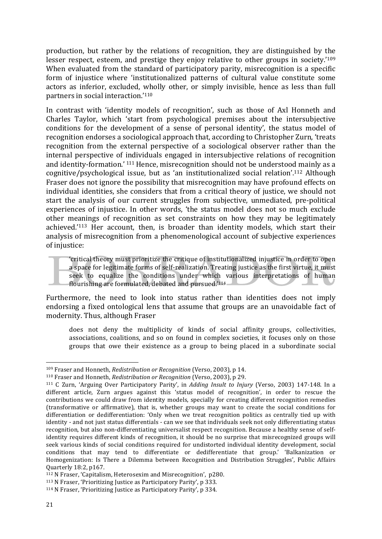production, but rather by the relations of recognition, they are distinguished by the lesser respect, esteem, and prestige they enjoy relative to other groups in society.' $109$ When evaluated from the standard of participatory parity, misrecognition is a specific form of injustice where 'institutionalized patterns of cultural value constitute some actors as inferior, excluded, wholly other, or simply invisible, hence as less than full partners in social interaction.'<sup>110</sup>

In contrast with 'identity models of recognition', such as those of Axl Honneth and Charles Taylor, which 'start from psychological premises about the intersubjective conditions for the development of a sense of personal identity', the status model of recognition endorses a sociological approach that, according to Christopher Zurn, 'treats recognition from the external perspective of a sociological observer rather than the internal perspective of individuals engaged in intersubjective relations of recognition and identity-formation.'  $111$  Hence, misrecognition should not be understood mainly as a cognitive/psychological issue, but as 'an institutionalized social relation'.<sup>112</sup> Although Fraser does not ignore the possibility that misrecognition may have profound effects on individual identities, she considers that from a critical theory of justice, we should not start the analysis of our current struggles from subjective, unmediated, pre-political experiences of injustice. In other words, 'the status model does not so much exclude other meanings of recognition as set constraints on how they may be legitimately achieved.'<sup>113</sup> Her account, then, is broader than identity models, which start their analysis of misrecognition from a phenomenological account of subjective experiences of injustice:

'critical theory must prioritize the critique of institutionalized injustice in order to open a space for legitimate forms of self-realization. Treating justice as the first virtue, it must seek to equalize the conditions under which various interpretations of human flourishing are formulated, debated and pursued.'114

Furthermore, the need to look into status rather than identities does not imply endorsing a fixed ontological lens that assume that groups are an unavoidable fact of modernity. Thus, although Fraser

does not deny the multiplicity of kinds of social affinity groups, collectivities, associations, coalitions, and so on found in complex societies, it focuses only on those groups that owe their existence as a group to being placed in a subordinate social

<sup>109</sup> Fraser and Honneth, *Redistribution or Recognition* (Verso, 2003), p 14.

<sup>&</sup>lt;sup>110</sup> Fraser and Honneth, *Redistribution or Recognition* (Verso, 2003), p 29.

<sup>&</sup>lt;sup>111</sup> C Zurn, 'Arguing Over Participatory Parity', in *Adding Insult to Injury* (Verso, 2003) 147-148. In a different article, Zurn argues against this 'status model of recognition', in order to rescue the contributions we could draw from identity models, specially for creating different recognition remedies (transformative or affirmative), that is, whether groups may want to create the social conditions for differentiation or dedifferentiation: 'Only when we treat recognition politics as centrally tied up with identity - and not just status differentials - can we see that individuals seek not only differentiating status recognition, but also non-differentiating universalist respect recognition. Because a healthy sense of selfidentity requires different kinds of recognition, it should be no surprise that misrecognized groups will seek various kinds of social conditions required for undistorted individual identity development, social conditions that may tend to differentiate or dedifferentiate that group.' 'Balkanization or Homogenization: Is There a Dilemma between Recognition and Distribution Struggles', Public Affairs Quarterly 18:2, p167. 

 $112$  N Fraser, 'Capitalism, Heterosexim and Misrecognition', p280.

 $113$  N Fraser, 'Prioritizing Justice as Participatory Parity', p 333.

 $114$  N Fraser, 'Prioritizing Justice as Participatory Parity', p 334.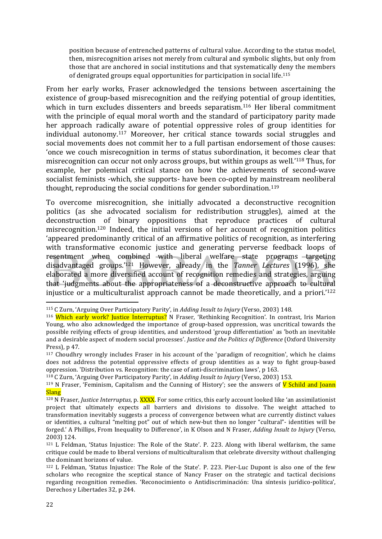position because of entrenched patterns of cultural value. According to the status model, then, misrecognition arises not merely from cultural and symbolic slights, but only from those that are anchored in social institutions and that systematically deny the members of denigrated groups equal opportunities for participation in social life.<sup>115</sup>

From her early works, Fraser acknowledged the tensions between ascertaining the existence of group-based misrecognition and the reifying potential of group identities, which in turn excludes dissenters and breeds separatism.<sup>116</sup> Her liberal commitment with the principle of equal moral worth and the standard of participatory parity made her approach radically aware of potential oppressive roles of group identities for individual autonomy.<sup>117</sup> Moreover, her critical stance towards social struggles and social movements does not commit her to a full partisan endorsement of those causes: 'once we couch misrecognition in terms of status subordination, it becomes clear that misrecognition can occur not only across groups, but within groups as well.'<sup>118</sup> Thus, for example, her polemical critical stance on how the achievements of second-wave socialist feminists -which, she supports- have been co-opted by mainstream neoliberal thought, reproducing the social conditions for gender subordination.<sup>119</sup>

To overcome misrecognition, she initially advocated a deconstructive recognition politics (as she advocated socialism for redistribution struggles), aimed at the deconstruction of binary oppositions that reproduce practices of cultural misrecognition.<sup>120</sup> Indeed, the initial versions of her account of recognition politics 'appeared predominantly critical of an affirmative politics of recognition, as interfering with transformative economic justice and generating perverse feedback loops of resentment when combined with liberal welfare state programs targeting disadvantaged groups.'<sup>121</sup> However, already in the *Tanner Lectures* (1996), she elaborated a more diversified account of recognition remedies and strategies, arguing that 'judgments about the appropriateness of a deconstructive approach to cultural injustice or a multiculturalist approach cannot be made theoretically, and a priori.<sup>'122</sup>

<sup>&</sup>lt;sup>115</sup> C Zurn, 'Arguing Over Participatory Parity', in *Adding Insult to Injury* (Verso, 2003) 148.

<sup>&</sup>lt;sup>116</sup> Which early work? Justice Interruptus? N Fraser, 'Rethinking Recognition'. In contrast, Iris Marion Young, who also acknowledged the importance of group-based oppression, was uncritical towards the possible reifying effects of group identities, and understood 'group differentiation' as 'both an inevitable and a desirable aspect of modern social processes'. *Justice and the Politics of Difference* (Oxford University Press),  $p$  47.

 $117$  Choudhry wrongly includes Fraser in his account of the 'paradigm of recognition', which he claims does not address the potential oppressive effects of group identities as a way to fight group-based oppression. 'Distribution vs. Recognition: the case of anti-discrimination laws', p 163.

<sup>&</sup>lt;sup>118</sup> C Zurn, 'Arguing Over Participatory Parity', in *Adding Insult to Injury* (Verso, 2003) 153.

<sup>&</sup>lt;sup>119</sup> N Fraser, 'Feminism, Capitalism and the Cunning of History'; see the answers of **V** Schild and Joann **Slang** 

<sup>&</sup>lt;sup>120</sup> N Fraser, *Justice Interruptus*, p. XXXX. For some critics, this early account looked like 'an assimilationist project that ultimately expects all barriers and divisions to dissolve. The weight attached to transformation inevitably suggests a process of convergence between what are currently distinct values or identities, a cultural "melting pot" out of which new-but then no longer "cultural"- identities will be forged.' A Phillips, From Inequality to Difference', in K Olson and N Fraser, *Adding Insult to Injury* (Verso, 2003) 124.

 $121$  L Feldman, 'Status Injustice: The Role of the State'. P. 223. Along with liberal welfarism, the same critique could be made to liberal versions of multiculturalism that celebrate diversity without challenging the dominant horizons of value.

<sup>&</sup>lt;sup>122</sup> L Feldman, 'Status Injustice: The Role of the State'. P. 223. Pier-Luc Dupont is also one of the few scholars who recognize the sceptical stance of Nancy Fraser on the strategic and tactical decisions regarding recognition remedies. 'Reconocimiento o Antidiscriminación: Una síntesis jurídico-política', Derechos y Libertades 32, p 244.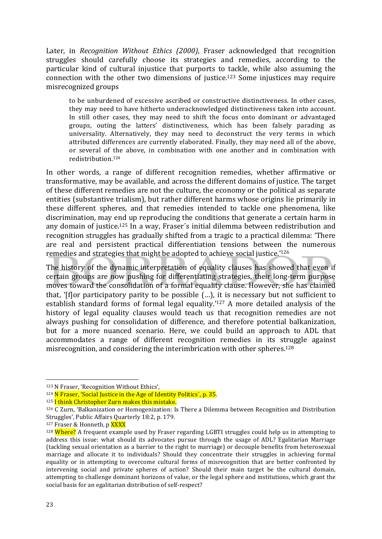Later, in *Recognition Without Ethics (2000)*, Fraser acknowledged that recognition struggles should carefully choose its strategies and remedies, according to the particular kind of cultural injustice that purports to tackle, while also assuming the connection with the other two dimensions of justice.<sup>123</sup> Some injustices may require misrecognized groups 

to be unburdened of excessive ascribed or constructive distinctiveness. In other cases, they may need to have hitherto underacknowledged distinctiveness taken into account. In still other cases, they may need to shift the focus onto dominant or advantaged groups, outing the latters' distinctiveness, which has been falsely parading as universality. Alternatively, they may need to deconstruct the very terms in which attributed differences are currently elaborated. Finally, they may need all of the above, or several of the above, in combination with one another and in combination with redistribution.124

In other words, a range of different recognition remedies, whether affirmative or transformative, may be available, and across the different domains of justice. The target of these different remedies are not the culture, the economy or the political as separate entities (substantive trialism), but rather different harms whose origins lie primarily in these different spheres, and that remedies intended to tackle one phenomena, like discrimination, may end up reproducing the conditions that generate a certain harm in any domain of justice.<sup>125</sup> In a way, Fraser's initial dilemma between redistribution and recognition struggles has gradually shifted from a tragic to a practical dilemma: 'There are real and persistent practical differentiation tensions between the numerous remedies and strategies that might be adopted to achieve social justice.'<sup>126</sup>

The history of the dynamic interpretation of equality clauses has showed that even if certain groups are now pushing for differentiating strategies, their long-term purpose moves toward the consolidation of a formal equality clause. However, she has claimed that, '[flor participatory parity to be possible  $(...)$ , it is necessary but not sufficient to establish standard forms of formal legal equality.'<sup>127</sup> A more detailed analysis of the history of legal equality clauses would teach us that recognition remedies are not always pushing for consolidation of difference, and therefore potential balkanization, but for a more nuanced scenario. Here, we could build an approach to ADL that accommodates a range of different recognition remedies in its struggle against misrecognition, and considering the interimbrication with other spheres.<sup>128</sup>

<sup>&</sup>lt;sup>123</sup> N Fraser, 'Recognition Without Ethics',

 $124$  N Fraser, 'Social Justice in the Age of Identity Politics', p. 35.

 $125$  I think Christopher Zurn makes this mistake.

 $126$  C Zurn, 'Balkanization or Homogenization: Is There a Dilemma between Recognition and Distribution Struggles', Public Affairs Quarterly 18:2, p. 179.

<sup>&</sup>lt;sup>127</sup> Fraser & Honneth, p XXXX

<sup>&</sup>lt;sup>128</sup> Where? A frequent example used by Fraser regarding LGBTI struggles could help us in attempting to address this issue: what should its advocates pursue through the usage of ADL? Egalitarian Marriage (tackling sexual orientation as a barrier to the right to marriage) or decouple benefits from heterosexual marriage and allocate it to individuals? Should they concentrate their struggles in achieving formal equality or in attempting to overcome cultural forms of misrecognition that are better confronted by intervening social and private spheres of action? Should their main target be the cultural domain, attempting to challenge dominant horizons of value, or the legal sphere and institutions, which grant the social basis for an egalitarian distribution of self-respect?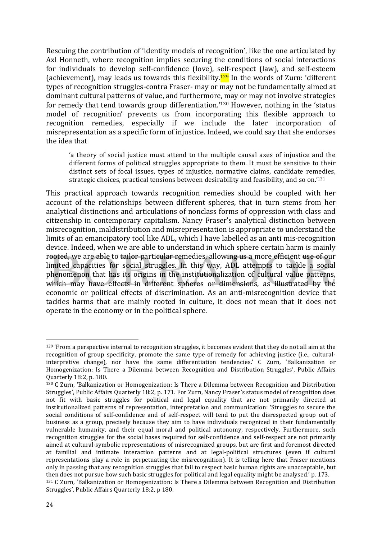Rescuing the contribution of 'identity models of recognition', like the one articulated by Axl Honneth, where recognition implies securing the conditions of social interactions for individuals to develop self-confidence (love), self-respect (law), and self-esteem (achievement), may leads us towards this flexibility.<sup>129</sup> In the words of Zurn: 'different types of recognition struggles-contra Fraser- may or may not be fundamentally aimed at dominant cultural patterns of value, and furthermore, may or may not involve strategies for remedy that tend towards group differentiation.'<sup>130</sup> However, nothing in the 'status model of recognition' prevents us from incorporating this flexible approach to recognition remedies, especially if we include the later incorporation of misrepresentation as a specific form of injustice. Indeed, we could say that she endorses the idea that

'a theory of social justice must attend to the multiple causal axes of injustice and the different forms of political struggles appropriate to them. It must be sensitive to their distinct sets of focal issues, types of injustice, normative claims, candidate remedies, strategic choices, practical tensions between desirability and feasibility, and so on.<sup>'131</sup>

This practical approach towards recognition remedies should be coupled with her account of the relationships between different spheres, that in turn stems from her analytical distinctions and articulations of nonclass forms of oppression with class and citizenship in contemporary capitalism. Nancy Fraser's analytical distinction between misrecognition, maldistribution and misrepresentation is appropriate to understand the limits of an emancipatory tool like ADL, which I have labelled as an anti mis-recognition device. Indeed, when we are able to understand in which sphere certain harm is mainly rooted, we are able to tailor particular remedies, allowing us a more efficient use of our limited capacities for social struggles. In this way, ADL attempts to tackle a social phenomenon that has its origins in the institutionalization of cultural value patterns, which may have effects in different spheres or dimensions, as illustrated by the economic or political effects of discrimination. As an anti-misrecognition device that tackles harms that are mainly rooted in culture, it does not mean that it does not operate in the economy or in the political sphere.

 $129$  'From a perspective internal to recognition struggles, it becomes evident that they do not all aim at the recognition of group specificity, promote the same type of remedy for achieving justice (i.e., culturalinterpretive change), nor have the same differentiation tendencies.' C Zurn, 'Balkanization or Homogenization: Is There a Dilemma between Recognition and Distribution Struggles', Public Affairs Quarterly 18:2, p. 180.

<sup>&</sup>lt;sup>130</sup> C Zurn, 'Balkanization or Homogenization: Is There a Dilemma between Recognition and Distribution Struggles', Public Affairs Quarterly 18:2, p. 171. For Zurn, Nancy Fraser's status model of recognition does not fit with basic struggles for political and legal equality that are not primarily directed at institutionalized patterns of representation, interpretation and communication: 'Struggles to secure the social conditions of self-confidence and of self-respect will tend to put the disrespected group out of business as a group, precisely because they aim to have individuals recognized in their fundamentally vulnerable humanity, and their equal moral and political autonomy, respectively. Furthermore, such recognition struggles for the social bases required for self-confidence and self-respect are not primarily aimed at cultural-symbolic representations of misrecognized groups, but are first and foremost directed at familial and intimate interaction patterns and at legal-political structures (even if cultural representations play a role in perpetuating the misrecognition). It is telling here that Fraser mentions only in passing that any recognition struggles that fail to respect basic human rights are unacceptable, but then does not pursue how such basic struggles for political and legal equality might be analysed.' p. 173. <sup>131</sup> C Zurn, 'Balkanization or Homogenization: Is There a Dilemma between Recognition and Distribution

Struggles', Public Affairs Quarterly 18:2, p 180.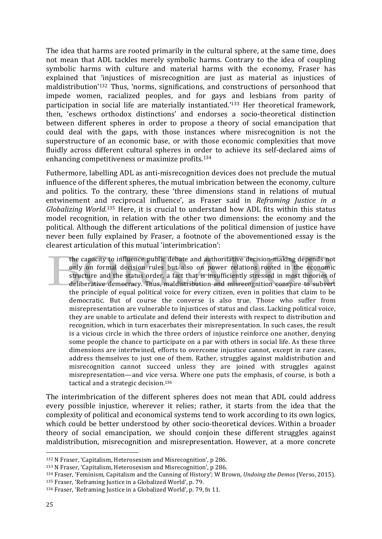The idea that harms are rooted primarily in the cultural sphere, at the same time, does not mean that ADL tackles merely symbolic harms. Contrary to the idea of coupling symbolic harms with culture and material harms with the economy, Fraser has explained that 'injustices of misrecognition are just as material as injustices of maldistribution<sup>'132</sup> Thus, 'norms, significations, and constructions of personhood that impede women, racialized peoples, and for gays and lesbians from parity of participation in social life are materially instantiated.<sup>'133</sup> Her theoretical framework, then, 'eschews orthodox distinctions' and endorses a socio-theoretical distinction between different spheres in order to propose a theory of social emancipation that could deal with the gaps, with those instances where misrecognition is not the superstructure of an economic base, or with those economic complexities that move fluidly across different cultural spheres in order to achieve its self-declared aims of enhancing competitiveness or maximize profits.<sup>134</sup>

Futhermore, labelling ADL as anti-misrecognition devices does not preclude the mutual influence of the different spheres, the mutual imbrication between the economy, culture and politics. To the contrary, these 'three dimensions stand in relations of mutual entwinement and reciprocal influence', as Fraser said in *Reframing Justice in a* Globalizing World.<sup>135</sup> Here, it is crucial to understand how ADL fits within this status model recognition, in relation with the other two dimensions; the economy and the political. Although the different articulations of the political dimension of justice have never been fully explained by Fraser, a footnote of the abovementioned essay is the clearest articulation of this mutual 'interimbrication':

the capacity to influence public debate and authoritative decision-making depends not only on formal decision rules but also on power relations rooted in the economic structure and the status order, a fact that is insufficiently stressed in most theories of deliberative democracy. Thus, maldistribution and misrecognition conspire to subvert the principle of equal political voice for every citizen, even in polities that claim to be democratic. But of course the converse is also true. Those who suffer from misrepresentation are vulnerable to injustices of status and class. Lacking political voice, they are unable to articulate and defend their interests with respect to distribution and recognition, which in turn exacerbates their misrepresentation. In such cases, the result is a vicious circle in which the three orders of injustice reinforce one another, denying some people the chance to participate on a par with others in social life. As these three dimensions are intertwined, efforts to overcome injustice cannot, except in rare cases, address themselves to just one of them. Rather, struggles against maldistribution and misrecognition cannot succeed unless they are joined with struggles against misrepresentation—and vice versa. Where one puts the emphasis, of course, is both a tactical and a strategic decision.<sup>136</sup>

The interimbrication of the different spheres does not mean that ADL could address every possible injustice, wherever it relies; rather, it starts from the idea that the complexity of political and economical systems tend to work according to its own logics, which could be better understood by other socio-theoretical devices. Within a broader theory of social emancipation, we should conjoin these different struggles against maldistribution, misrecognition and misrepresentation. However, at a more concrete

<sup>&</sup>lt;sup>132</sup> N Fraser, 'Capitalism, Heterosexism and Misrecognition', p 286.

 $133$  N Fraser, 'Capitalism, Heterosexism and Misrecognition', p 286.

<sup>134</sup> Fraser, 'Feminism, Capitalism and the Cunning of History'; W Brown, *Undoing the Demos* (Verso, 2015).

<sup>&</sup>lt;sup>135</sup> Fraser, 'Reframing Justice in a Globalized World', p. 79.

<sup>136</sup> Fraser, 'Reframing Justice in a Globalized World', p. 79, fn 11.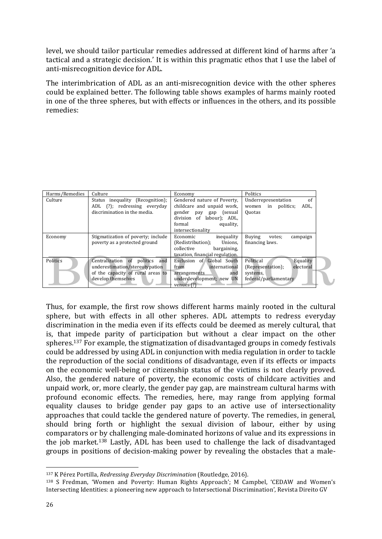level, we should tailor particular remedies addressed at different kind of harms after 'a tactical and a strategic decision.' It is within this pragmatic ethos that I use the label of anti-misrecognition device for ADL.

The interimbrication of ADL as an anti-misrecognition device with the other spheres could be explained better. The following table shows examples of harms mainly rooted in one of the three spheres, but with effects or influences in the others, and its possible remedies:

| Harms/Remedies | Culture                                                                                                                     | Economy                                                                                                                                                                     | Politics                                                                                     |
|----------------|-----------------------------------------------------------------------------------------------------------------------------|-----------------------------------------------------------------------------------------------------------------------------------------------------------------------------|----------------------------------------------------------------------------------------------|
| Culture        | Status inequality (Recognition);<br>ADL (?); redressing everyday<br>discrimination in the media.                            | Gendered nature of Poverty,<br>childcare and unpaid work,<br>gender<br>(sexual<br>pay<br>gap<br>division<br>of<br>labour); ADL,<br>equality,<br>formal<br>intersectionality | of<br>Underrepresentation<br>ADL,<br>politics:<br>in<br>women<br><b>Quotas</b>               |
| Economy        | Stigmatization of poverty; include<br>poverty as a protected ground                                                         | Economic<br>inequality<br>Unions.<br>(Redistribution);<br>collective<br>bargaining,<br>taxation, financial regulation.                                                      | <b>Buving</b><br>campaign<br>votes;<br>financing laws.                                       |
| Politics       | Centralization of politics and<br>underestimation/stereotypation<br>of the capacity of rural areas to<br>develop themselves | Exclusion of Global South<br>from<br>international<br>arrangements<br>and<br>underdevelopment; new UN<br>venues $(?)$                                                       | Political<br>Equality<br>electoral<br>(Representation);<br>systems,<br>federal/parliamentary |

Thus, for example, the first row shows different harms mainly rooted in the cultural sphere, but with effects in all other spheres. ADL attempts to redress everyday discrimination in the media even if its effects could be deemed as merely cultural, that is, that impede parity of participation but without a clear impact on the other spheres.<sup>137</sup> For example, the stigmatization of disadvantaged groups in comedy festivals could be addressed by using ADL in conjunction with media regulation in order to tackle the reproduction of the social conditions of disadvantage, even if its effects or impacts on the economic well-being or citizenship status of the victims is not clearly proved. Also, the gendered nature of poverty, the economic costs of childcare activities and unpaid work, or, more clearly, the gender pay gap, are mainstream cultural harms with profound economic effects. The remedies, here, may range from applying formal equality clauses to bridge gender pay gaps to an active use of intersectionality approaches that could tackle the gendered nature of poverty. The remedies, in general, should bring forth or highlight the sexual division of labour, either by using comparators or by challenging male-dominated horizons of value and its expressions in the job market.<sup>138</sup> Lastly, ADL has been used to challenge the lack of disadvantaged groups in positions of decision-making power by revealing the obstacles that a male-

<sup>137</sup> K Pérez Portilla, *Redressing Everyday Discrimination* (Routledge, 2016).

<sup>&</sup>lt;sup>138</sup> S Fredman, 'Women and Poverty: Human Rights Approach'; M Campbel, 'CEDAW and Women's Intersecting Identities: a pioneering new approach to Intersectional Discrimination', Revista Direito GV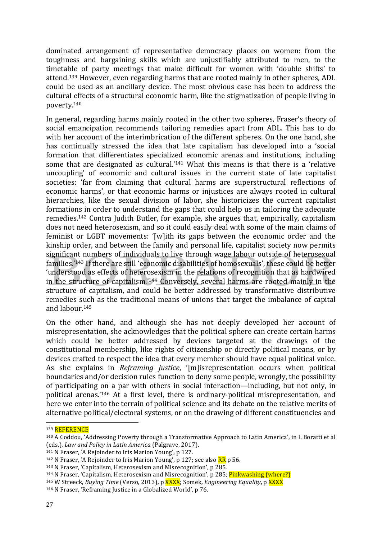dominated arrangement of representative democracy places on women: from the toughness and bargaining skills which are unjustifiably attributed to men, to the timetable of party meetings that make difficult for women with 'double shifts' to attend.<sup>139</sup> However, even regarding harms that are rooted mainly in other spheres, ADL could be used as an ancillary device. The most obvious case has been to address the cultural effects of a structural economic harm, like the stigmatization of people living in poverty.140 

In general, regarding harms mainly rooted in the other two spheres, Fraser's theory of social emancipation recommends tailoring remedies apart from ADL. This has to do with her account of the interimbrication of the different spheres. On the one hand, she has continually stressed the idea that late capitalism has developed into a 'social formation that differentiates specialized economic arenas and institutions, including some that are designated as cultural.'<sup>141</sup> What this means is that there is a 'relative uncoupling' of economic and cultural issues in the current state of late capitalist societies: 'far from claiming that cultural harms are superstructural reflections of economic harms', or that economic harms or injustices are always rooted in cultural hierarchies, like the sexual division of labor, she historicizes the current capitalist formations in order to understand the gaps that could help us in tailoring the adequate remedies.<sup>142</sup> Contra Judith Butler, for example, she argues that, empirically, capitalism does not need heterosexism, and so it could easily deal with some of the main claims of feminist or LGBT movements: '[w]ith its gaps between the economic order and the kinship order, and between the family and personal life, capitalist society now permits significant numbers of individuals to live through wage labour outside of heterosexual families.'<sup>143</sup> If there are still 'economic disabilities of homosexuals', these could be better 'understood as effects of heterosexism in the relations of recognition that as hardwired in the structure of capitalism.<sup>'144</sup> Conversely, several harms are rooted mainly in the structure of capitalism, and could be better addressed by transformative distributive remedies such as the traditional means of unions that target the imbalance of capital and labour.<sup>145</sup>

On the other hand, and although she has not deeply developed her account of misrepresentation, she acknowledges that the political sphere can create certain harms which could be better addressed by devices targeted at the drawings of the constitutional membership, like rights of citizenship or directly political means, or by devices crafted to respect the idea that every member should have equal political voice. As she explains in *Reframing Justice*, '[m]isrepresentation occurs when political boundaries and/or decision rules function to deny some people, wrongly, the possibility of participating on a par with others in social interaction—including, but not only, in political arenas.'<sup>146</sup> At a first level, there is ordinary-political misrepresentation, and here we enter into the terrain of political science and its debate on the relative merits of alternative political/electoral systems, or on the drawing of different constituencies and

<sup>139</sup> REFERENCE

<sup>&</sup>lt;sup>140</sup> A Coddou, 'Addressing Poverty through a Transformative Approach to Latin America', in L Boratti et al (eds.), *Law and Policy in Latin America* (Palgrave, 2017).

<sup>&</sup>lt;sup>141</sup> N Fraser, 'A Rejoinder to Iris Marion Young', p 127.

<sup>&</sup>lt;sup>142</sup> N Fraser, 'A Rejoinder to Iris Marion Young', p 127; see also  $\overline{RR}$  p 56.

<sup>&</sup>lt;sup>143</sup> N Fraser, 'Capitalism, Heterosexism and Misrecognition', p 285.

<sup>&</sup>lt;sup>144</sup> N Fraser, 'Capitalism, Heterosexism and Misrecognition', p 285; Pinkwashing (where?)

<sup>&</sup>lt;sup>145</sup> W Streeck, *Buying Time* (Verso, 2013), p XXXX; Somek, *Engineering Equality*, p XXXX

 $146$  N Fraser, 'Reframing Justice in a Globalized World', p 76.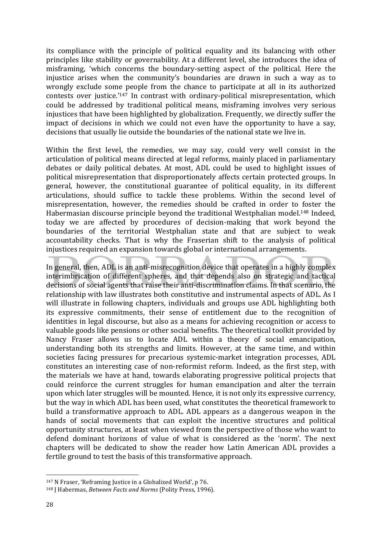its compliance with the principle of political equality and its balancing with other principles like stability or governability. At a different level, she introduces the idea of misframing, 'which concerns the boundary-setting aspect of the political. Here the injustice arises when the community's boundaries are drawn in such a way as to wrongly exclude some people from the chance to participate at all in its authorized contests over justice.'<sup>147</sup> In contrast with ordinary-political misrepresentation, which could be addressed by traditional political means, misframing involves very serious injustices that have been highlighted by globalization. Frequently, we directly suffer the impact of decisions in which we could not even have the opportunity to have a say, decisions that usually lie outside the boundaries of the national state we live in.

Within the first level, the remedies, we may say, could very well consist in the articulation of political means directed at legal reforms, mainly placed in parliamentary debates or daily political debates. At most, ADL could be used to highlight issues of political misrepresentation that disproportionately affects certain protected groups. In general, however, the constitutional guarantee of political equality, in its different articulations, should suffice to tackle these problems. Within the second level of misrepresentation, however, the remedies should be crafted in order to foster the Habermasian discourse principle beyond the traditional Westphalian model.<sup>148</sup> Indeed, today we are affected by procedures of decision-making that work beyond the boundaries of the territorial Westphalian state and that are subject to weak accountability checks. That is why the Fraserian shift to the analysis of political injustices required an expansion towards global or international arrangements.

In general, then, ADL is an anti-misrecognition device that operates in a highly complex interimbrication of different spheres, and that depends also on strategic and tactical decisions of social agents that raise their anti-discrimination claims. In that scenario, the relationship with law illustrates both constitutive and instrumental aspects of ADL. As I will illustrate in following chapters, individuals and groups use ADL highlighting both its expressive commitments, their sense of entitlement due to the recognition of identities in legal discourse, but also as a means for achieving recognition or access to valuable goods like pensions or other social benefits. The theoretical toolkit provided by Nancy Fraser allows us to locate ADL within a theory of social emancipation, understanding both its strengths and limits. However, at the same time, and within societies facing pressures for precarious systemic-market integration processes, ADL constitutes an interesting case of non-reformist reform. Indeed, as the first step, with the materials we have at hand, towards elaborating progressive political projects that could reinforce the current struggles for human emancipation and alter the terrain upon which later struggles will be mounted. Hence, it is not only its expressive currency, but the way in which ADL has been used, what constitutes the theoretical framework to build a transformative approach to ADL. ADL appears as a dangerous weapon in the hands of social movements that can exploit the incentive structures and political opportunity structures, at least when viewed from the perspective of those who want to defend dominant horizons of value of what is considered as the 'norm'. The next chapters will be dedicated to show the reader how Latin American ADL provides a fertile ground to test the basis of this transformative approach.

 $147$  N Fraser, 'Reframing Justice in a Globalized World', p 76.

<sup>148</sup> J Habermas, *Between Facts and Norms* (Polity Press, 1996).